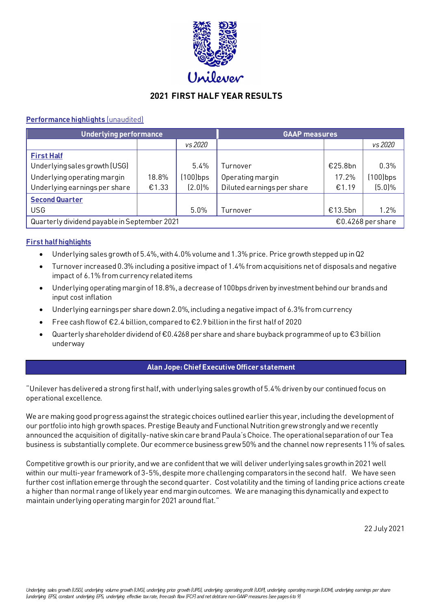

# **2021 FIRST HALF YEAR RESULTS**

# **Performance highlights** (unaudited)

| <b>Underlying performance</b>                                     |       |             | <b>GAAP measures</b>       |         |             |  |
|-------------------------------------------------------------------|-------|-------------|----------------------------|---------|-------------|--|
|                                                                   |       | vs 2020     |                            |         | vs 2020     |  |
| <b>First Half</b>                                                 |       |             |                            |         |             |  |
| Underlying sales growth (USG)                                     |       | 5.4%        | Turnover                   | €25.8bn | 0.3%        |  |
| Underlying operating margin                                       | 18.8% | $(100)$ bps | Operating margin           | 17.2%   | $(100)$ bps |  |
| Underlying earnings per share                                     | €1.33 | $(2.0)\%$   | Diluted earnings per share | €1.19   | (5.0%       |  |
| <b>Second Quarter</b>                                             |       |             |                            |         |             |  |
| <b>USG</b>                                                        |       | 5.0%        | Turnover                   | €13.5bn | 1.2%        |  |
| Quarterly dividend payable in September 2021<br>€0.4268 per share |       |             |                            |         |             |  |

# **First half highlights**

- Underlying sales growth of 5.4%, with 4.0% volume and 1.3% price. Price growth stepped up in Q2
- Turnover increased 0.3% including a positive impact of 1.4% from acquisitions net of disposals and negative impact of 6.1% from currency related items
- Underlying operating margin of 18.8%, a decrease of 100bpsdriven by investment behind our brands and input cost inflation
- Underlying earnings per share down 2.0%, including a negative impact of 6.3% from currency
- Free cash flow of €2.4 billion, compared to€2.9 billion in the first half of 2020
- Quarterly shareholder dividend of €0.4268 per share and share buyback programme of up to €3 billion underway

# **Alan Jope: Chief Executive Officer statement**

"Unilever has delivered a strong first half, with underlying sales growth of 5.4% driven by our continued focus on operational excellence.

We are making good progress against the strategic choices outlined earlier this year, including the development of our portfolio into high growth spaces. Prestige Beauty and Functional Nutrition grew strongly and we recently announced the acquisition of digitally-native skin care brand Paula's Choice. The operational separation of our Tea business is substantially complete. Our ecommerce business grew50% and the channel now represents 11% of sales.

Competitive growth is our priority, and we are confident that we will deliver underlying sales growth in 2021 well within our multi-year framework of 3-5%, despite more challenging comparators in the second half. We have seen further cost inflation emerge through the second quarter. Cost volatility and the timing of landing price actions create a higher than normal range of likely year end margin outcomes. We are managing this dynamically and expect to maintain underlying operating margin for 2021 around flat."

22 July 2021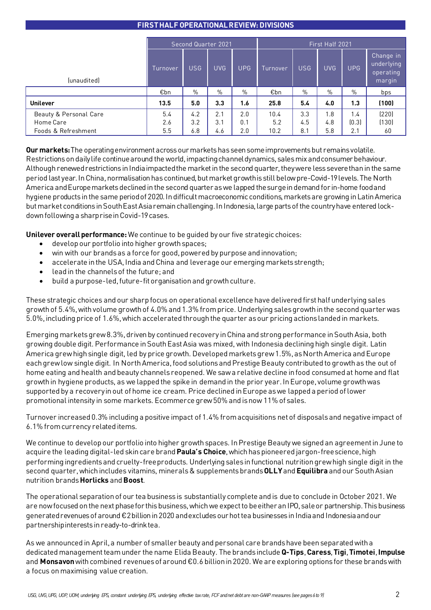# **FIRST HALF OPERATIONAL REVIEW: DIVISIONS**

|                                     | Second Quarter 2021 |            |            | First Half 2021 |             |               |            |              |                                                |
|-------------------------------------|---------------------|------------|------------|-----------------|-------------|---------------|------------|--------------|------------------------------------------------|
| <i>(unaudited)</i>                  | Turnover            | <b>USG</b> | <b>UVG</b> | <b>UPG</b>      | Turnover    | <b>USG</b>    | <b>UVG</b> | <b>UPG</b>   | Change in<br>underlying<br>operating<br>margin |
|                                     | €bn                 | $\%$       | $\%$       | %               | €bn         | $\frac{1}{2}$ | $\%$       | $\%$         | bps                                            |
| <b>Unilever</b>                     | 13.5                | 5.0        | 3.3        | 1.6             | 25.8        | 5.4           | 4.0        | 1.3          | (100)                                          |
| Beauty & Personal Care<br>Home Care | 5.4<br>2.6          | 4.2<br>3.2 | 2.1<br>3.1 | 2.0<br>0.1      | 10.4<br>5.2 | 3.3<br>4.5    | 1.8<br>4.8 | 1.4<br>(0.3) | (220)<br>(130)                                 |
| Foods & Refreshment                 | 5.5                 | 6.8        | 4.6        | 2.0             | 10.2        | 8.1           | 5.8        | 2.1          | 60                                             |

**Our markets:** The operating environment across our markets has seen some improvements but remains volatile. Restrictions on daily life continue around the world, impacting channel dynamics, sales mix and consumer behaviour. Although renewed restrictions in India impacted the market in the second quarter, they were less severe than in the same period last year. In China, normalisation hascontinued, but market growth is still below pre-Covid-19levels. The North America and Europe markets declined in the second quarter as we lapped the surge in demand for in-home food and hygiene products in the same periodof 2020. In difficult macroeconomic conditions, markets are growing in Latin America but market conditions in South East Asia remain challenging. In Indonesia, large parts of the country have entered lockdown following a sharp rise in Covid-19 cases.

**Unilever overall performance:** We continue to be guided by our five strategic choices:

- develop our portfolio into higher growth spaces;
- win with our brands as a force for good, powered by purpose and innovation;
- accelerate in the USA, India and China and leverage our emerging markets strength;
- lead in the channels of the future; and
- build a purpose-led, future-fit organisation and growth culture.

These strategic choices and our sharp focus on operational excellence have delivered first half underlying sales growth of 5.4%, with volume growth of 4.0% and 1.3% from price. Underlying sales growth in the second quarter was 5.0%, including price of 1.6%, which accelerated through the quarter as our pricing actions landed in markets.

Emerging markets grew 8.3%, driven by continued recovery in China and strong performance in South Asia, both growing double digit. Performance in South East Asia was mixed, with Indonesia declining high single digit. Latin America grew high single digit, led by price growth. Developed markets grew 1.5%, as North America and Europe each grew low single digit. In North America, food solutions and Prestige Beauty contributed to growth as the out of home eating and health and beauty channels reopened. We saw a relative decline in food consumed at home and flat growth in hygiene products, as we lapped the spike in demand in the prior year. In Europe, volume growth was supported by a recovery in out of home ice cream. Price declined in Europe as we lapped a period of lower promotional intensity in some markets. Ecommerce grew 50% and is now 11% of sales.

Turnover increased 0.3% including a positive impact of 1.4% from acquisitions net of disposals and negative impact of 6.1% from currency related items.

We continue to develop our portfolio into higher growth spaces. In Prestige Beauty we signed an agreement in June to acquire the leading digital-led skin care brand**Paula's Choice**, which has pioneered jargon-free science, high performing ingredients and cruelty-free products. Underlying sales in functional nutrition grew high single digit in the second quarter, which includes vitamins, minerals & supplements brands **OLLY**and **Equilibra** and our South Asian nutrition brands **Horlicks** and **Boost**.

The operational separation of our tea business is substantially complete and is due to conclude in October 2021. We are now focused onthe next phase for this business, which we expect to beeitheran IPO, sale or partnership. This business generated revenues of around €2 billion in 2020 and excludes our hot tea businesses in India and Indonesia and our partnership interests in ready-to-drink tea.

As we announced in April, a number of smaller beauty and personal care brands have been separated with a dedicated management team under the name Elida Beauty. The brands include **Q-Tips**, **Caress**, **Tigi**, **Timotei**, **Impulse** and **Monsavon**with combined revenues of around €0.6 billion in 2020. We are exploring options for these brands with a focus on maximising value creation.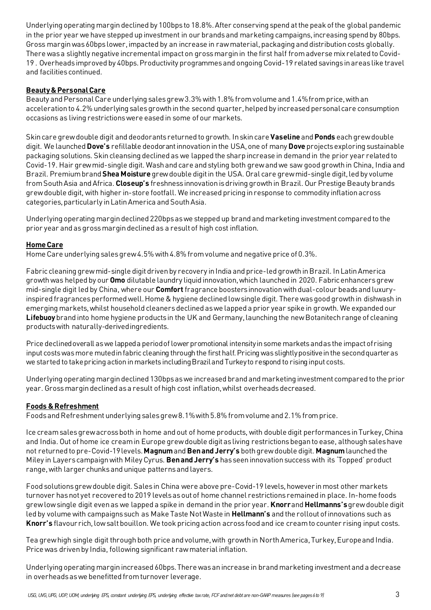Underlying operating margin declined by 100bps to 18.8%. After conserving spend at the peak of the global pandemic in the prior year we have stepped up investment in our brands and marketing campaigns, increasing spend by 80bps. Gross margin was 60bps lower, impacted by an increase in raw material, packaging and distribution costs globally. There was a slightly negative incremental impact on gross margin in the first half from adverse mix related to Covid-19 . Overheads improved by 40bps.Productivity programmesand ongoing Covid-19 related savings in areas like travel and facilitiescontinued.

# **Beauty & Personal Care**

Beauty and Personal Care underlying sales grew 3.3% with 1.8% from volume and 1.4% from price, with an acceleration to 4.2% underlying sales growth in the second quarter, helped by increased personal care consumption occasions as living restrictions were eased in some of our markets.

Skin care grew double digit and deodorants returned to growth. In skin care **Vaseline** and **Ponds** each grew double digit. We launched **Dove's** refillable deodorant innovation in the USA, one of many **Dove** projects exploring sustainable packaging solutions. Skin cleansing declined as we lapped the sharp increase in demand in the prior year related to Covid-19. Hair grew mid-single digit. Wash and care and styling both grew and we saw good growth in China, India and Brazil. Premium brand **Shea Moisture** grew double digit in the USA. Oral care grew mid-single digit, led by volume from South Asia and Africa. **Closeup's** freshness innovation is driving growth in Brazil. Our Prestige Beauty brands grew double digit, with higher in-store footfall. We increased pricing in response to commodity inflation across categories, particularly in Latin America and South Asia.

Underlying operating margindeclined 220bps as we stepped up brand and marketing investment compared to the prior year and asgross margin declined as a result of high cost inflation.

# **Home Care**

Home Care underlying sales grew 4.5% with 4.8% from volume and negative price of 0.3%.

Fabric cleaning grew mid-single digit driven by recovery in India and price-led growth in Brazil. In Latin America growth was helped by our **Omo** dilutable laundry liquid innovation, which launched in 2020. Fabric enhancers grew mid-single digit led by China, where our **Comfort** fragrance boostersinnovation with dual-colour beads and luxuryinspired fragrances performed well. Home & hygiene declined low single digit. There was good growth in dishwash in emerging markets, whilst household cleaners declined as we lapped a prior year spike in growth. We expanded our **Lifebuoy**brand into home hygiene products in the UK and Germany, launching the new Botanitech range of cleaning products with naturally-derived ingredients.

Price declined overall as we lapped a period of lower promotional intensity in some marketsand as the impact of rising input costs was more muted in fabric cleaning through the first half. Pricing was slightly positive in the second quarter as we started to takepricing action in markets including Brazil and Turkey to respond to rising input costs.

Underlying operating margin declined 130bps as we increased brand and marketing investment compared to the prior year. Gross margin declined as a result of high cost inflation, whilst overheads decreased.

# **Foods & Refreshment**

Foods and Refreshment underlying sales grew 8.1% with 5.8% from volume and 2.1% from price.

Ice cream sales grew across both in home and out of home products, with double digit performances in Turkey, China and India. Out of home ice cream in Europe grew double digit as living restrictions began to ease, although sales have not returned to pre-Covid-19 levels. **Magnum**and**Ben and Jerry's** bothgrew double digit. **Magnum**launched the Miley in Layers campaign with Miley Cyrus. **Ben and Jerry's** hasseen innovation success with its 'Topped' product range, with larger chunks and unique patterns and layers.

Food solutions grew double digit. Sales in China were above pre-Covid-19 levels, however in most other markets turnover has not yet recovered to 2019 levels as out of home channel restrictions remained in place. In-home foods grew low single digit even as we lapped a spike in demand in the prior year. **Knorr**and **Hellmanns's**grew double digit led by volume with campaigns such as Make Taste Not Waste in **Hellmann's** and the rollout of innovations such as **Knorr's** flavour rich,low saltbouillon. We took pricing action across food and ice cream to counter rising input costs.

Tea grew high single digit through both price and volume, with growth in North America, Turkey, Europe and India. Price was drivenby India, following significant raw material inflation.

Underlying operating margin increased 60bps. There was an increase in brand marketing investment and a decrease in overheads as we benefitted from turnover leverage.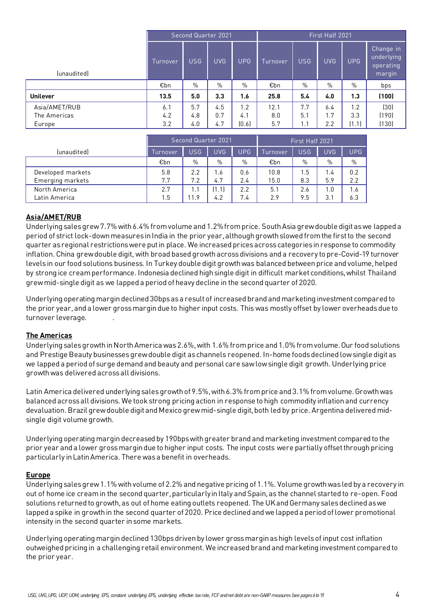| Second Quarter 2021 |            |            | First Half 2021 |             |            |            |            |                                                |
|---------------------|------------|------------|-----------------|-------------|------------|------------|------------|------------------------------------------------|
| Turnover            | <b>USG</b> | <b>UVG</b> | <b>UPG</b>      | Turnover    | <b>USG</b> | <b>UVG</b> | <b>UPG</b> | Change in<br>underlying<br>operating<br>margin |
| €bn                 | $\%$       | %          | $\%$            | €bn         | $\%$       | $\%$       | %          | bps                                            |
| 13.5                | 5.0        | 3.3        | 1.6             | 25.8        | 5.4        | 4.0        | 1.3        | (100)                                          |
| 6.1<br>4.2          | 5.7<br>4.8 | 4.5<br>0.7 | 1.2<br>4.1      | 12.1<br>8.0 | 7.7<br>5.1 | 6.4<br>1.7 | 1.2<br>3.3 | (30)<br>(190)<br>(130)                         |
|                     | 3.2        | 4.0        | 4.7             | (0.6)       | 5.7        | 1.1        | 2.2        | (1.1)                                          |

|                   | Second Quarter 2021 |            |            |            | First Half 2021 |            |            |            |
|-------------------|---------------------|------------|------------|------------|-----------------|------------|------------|------------|
| (unaudited)       | Turnover            | <b>USG</b> | <b>UVG</b> | <b>UPG</b> | Turnover        | <b>USG</b> | <b>UVG</b> | <b>UPG</b> |
|                   | €bn                 | $\%$       | $\%$       | $\%$       | €bn             | $\%$       | $\%$       | $\%$       |
| Developed markets | 5.8                 | 2.2        | 1.6        | 0.6        | 10.8            | 1.5        | 1.4        | 0.2        |
| Emerging markets  | 7.7                 | 7.2        | 4.7        | 2.4        | 15.0            | 8.3        | 5.9        | 2.2        |
| North America     | 2.7                 | $\cdot$ 1  | '1.1       | 2.2        | 5.1             | 2.6        | 1.0        | 1.6        |
| Latin America     | 1.5                 | 1.9        | 4.2        | 7.4        | 2.9             | 9.5        | 3.1        | 6.3        |

# **Asia/AMET/RUB**

Underlying sales grew 7.7% with 6.4% from volume and 1.2% from price. South Asia grew double digit as we lapped a period of strict lock-down measures in India in the prior year, although growth slowed from the first to the second quarter as regional restrictions were put in place. We increased prices across categories in response to commodity inflation. China grew double digit, with broad based growth across divisions and a recovery to pre-Covid-19 turnover levels in our food solutions business. In Turkey double digit growth was balanced between price and volume, helped by strong ice cream performance. Indonesia declined high single digit in difficult market conditions, whilst Thailand grew mid-single digit as we lapped a period of heavy decline in the second quarter of 2020.

Underlying operating margin declined 30bps as a result of increased brand and marketing investment compared to the prior year,and a lower gross margin due to higher input costs. This was mostly offset by lower overheads due to turnover leverage.

# **The Americas**

Underlying sales growth in North America was 2.6%, with 1.6% from price and 1.0% from volume. Our food solutions and Prestige Beauty businesses grew double digit as channels reopened. In-home foods declined low single digit as we lapped a period of surge demand and beauty and personal care saw low single digit growth. Underlying price growth was delivered across all divisions.

Latin America delivered underlying sales growth of 9.5%, with 6.3% from price and 3.1% from volume. Growth was balanced across all divisions. We took strong pricing action in response to high commodity inflation and currency devaluation. Brazil grew double digit and Mexico grew mid-single digit,both led by price. Argentina delivered midsingle digit volume growth.

Underlying operating margin decreased by 190bps with greater brand and marketing investment compared to the prior year and a lower gross margin due to higher input costs. The input costs were partially offset through pricing particularly in Latin America. There wasa benefit in overheads.

# **Europe**

Underlying sales grew 1.1% with volume of 2.2% and negative pricing of 1.1%. Volume growth was led by a recovery in out of home ice cream in the second quarter, particularly in Italy and Spain, as the channel started to re-open. Food solutions returned to growth, as out of home eating outlets reopened. The UK and Germany sales declined as we lapped a spike in growth in the second quarter of 2020. Price declined and we lapped a period of lower promotional intensity in the second quarter in some markets.

Underlying operating margindeclined 130bps driven by lower gross margin as high levels of input cost inflation outweighed pricing in a challenging retail environment. We increased brand and marketing investment compared to the prior year.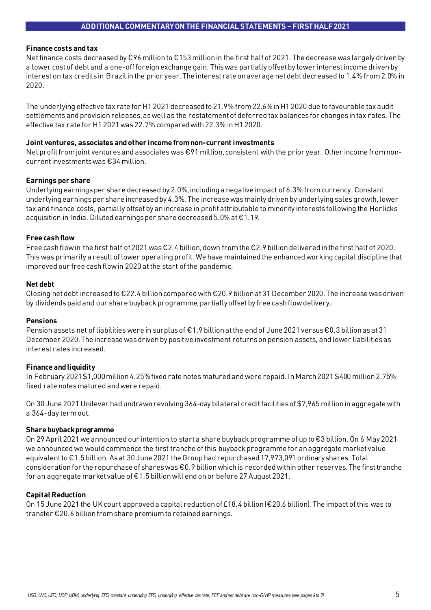## **Finance costs and tax**

Net finance costs decreased by €96 million to €153 million in the first half of 2021. The decrease waslargely driven by a lower cost of debtand a one-off foreign exchange gain. This was partially offset by lower interest income driven by interest on tax credits in Brazil in the prior year. The interest rate on average net debt decreased to 1.4% from 2.0% in 2020.

The underlying effective tax rate for H1 2021 decreased to 21.9% from22.6% in H1 2020 due to favourable tax audit settlements and provision releases, as well as the restatement of deferred tax balances for changes in tax rates. The effective tax rate for H1 2021 was 22.7% compared with 22.3% in H1 2020.

## **Joint ventures, associates and other income from non-current investments**

Net profit from joint ventures and associates was €91 million, consistent with the prior year. Other income from noncurrent investments was €34 million.

## **Earnings per share**

Underlying earnings per share decreased by 2.0%, including a negative impact of 6.3% from currency. Constant underlying earnings per share increased by 4.3%. The increase was mainly driven by underlying sales growth, lower tax and finance costs, partially offset by an increase in profit attributable to minority interests following the Horlicks acquisition in India. Diluted earnings per share decreased 5.0% at €1.19.

# **Free cash flow**

Free cash flow in the first half of 2021 was €2.4 billion, down from the €2.9 billion delivered in the first half of 2020. This was primarily a result of lower operating profit. We have maintained the enhanced working capital discipline that improved our free cash flow in 2020 at the start of the pandemic.

## **Net debt**

Closing net debt increased to €22.4 billion compared with €20.9 billion at 31 December 2020. The increase was driven by dividends paid and our share buyback programme, partially offset by free cash flow delivery.

## **Pensions**

Pension assets net of liabilities were in surplus of €1.9 billion at the end of June 2021 versus €0.3 billion as at31 December 2020. The increase was driven by positive investment returns on pension assets, and lower liabilities as interest rates increased.

# **Finance and liquidity**

In February 2021 \$1,000 million 4.25% fixed rate notes matured and were repaid. In March 2021 \$400 million 2.75% fixed rate notes matured and were repaid.

On 30 June 2021 Unilever had undrawn revolving 364-day bilateral credit facilities of \$7,965 million in aggregate with a 364-day term out.

## **Share buyback programme**

On 29 April 2021 we announced our intention to start a share buyback programme of up to €3 billion. On 6 May 2021 we announced we would commence the first tranche of this buyback programme for an aggregate market value equivalent to €1.5 billion. As at 30 June 2021 the Group had repurchased 17,973,091 ordinary shares. Total consideration for the repurchase of shares was  $\epsilon$ 0.9 billion which is recorded within other reserves. The first tranche for an aggregate market value of €1.5 billion will end on or before 27 August 2021.

# **Capital Reduction**

On 15 June 2021 the UK court approved a capital reduction of £18.4 billion (€20.6 billion). The impact of this was to transfer €20.6 billion from share premium to retained earnings.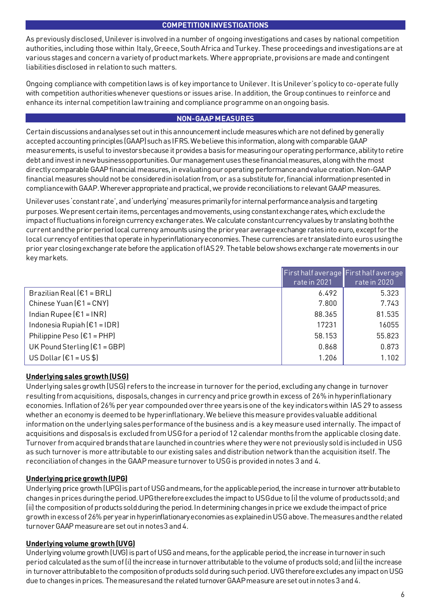# **COMPETITION INVESTIGATIONS**

As previously disclosed, Unilever is involved in a number of ongoing investigations and cases by national competition authorities, including those within Italy, Greece, South Africa and Turkey. These proceedings and investigations are at various stages and concern a variety of product markets. Where appropriate, provisions are made and contingent liabilities disclosed in relation to such matters.

Ongoing compliance with competition laws is of key importance to Unilever. It is Unilever's policy to co-operate fully with competition authorities whenever questions or issues arise. In addition, the Group continues to reinforce and enhance its internal competition law training and compliance programme on an ongoing basis.

# **NON-GAAP MEASURES**

Certain discussions and analyses set out in this announcement include measures which are not defined by generally accepted accounting principles (GAAP) such as IFRS. We believe this information, along with comparable GAAP measurements, is useful to investors because it provides a basis for measuring our operating performance, ability to retire debt and invest in new business opportunities. Our management uses these financial measures, along with the most directly comparable GAAP financial measures, in evaluating our operating performance and value creation. Non-GAAP financial measures should not be consideredin isolation from, or as a substitute for, financial information presented in compliance with GAAP. Wherever appropriate and practical, we provide reconciliations to relevant GAAP measures.

Unilever uses 'constant rate', and 'underlying' measures primarily for internal performance analysis and targeting purposes. We present certain items, percentages and movements, using constant exchange rates, which exclude the impact of fluctuations in foreign currency exchange rates. We calculate constant currency values by translating both the current and the prior period local currency amounts using the prior year average exchange rates into euro, except for the local currency of entities that operate in hyperinflationary economies. These currencies are translated into euros using the prior year closing exchange rate before the application of IAS 29. The table below shows exchange rate movements in our key markets.

|                                                   | First half average First half average |              |
|---------------------------------------------------|---------------------------------------|--------------|
|                                                   | rate in 2021                          | rate in 2020 |
| Brazilian Real $[€1 = BRL]$                       | 6.492                                 | 5.323        |
| Chinese Yuan $E1 = CNY$                           | 7.800                                 | 7.743        |
| Indian Rupee $\left[\epsilon\right] = \text{INR}$ | 88.365                                | 81.535       |
| Indonesia Rupiah $E1 = IDR$                       | 17231                                 | 16055        |
| Philippine Peso $E1 = PHP$                        | 58.153                                | 55.823       |
| UK Pound Sterling $(E1 = GBP)$                    | 0.868                                 | 0.873        |
| US Dollar $[€1 = US $]$                           | 1.206                                 | 1.102        |

# **Underlying sales growth (USG)**

Underlying sales growth (USG) refersto the increase in turnover for the period, excluding any change in turnover resulting from acquisitions, disposals, changes in currency and price growth in excess of 26% in hyperinflationary economies. Inflation of 26% per year compounded over three years is one of the key indicators within IAS 29 to assess whether an economy is deemed to be hyperinflationary. We believe this measure provides valuable additional information on the underlying sales performance of the business and is a key measure used internally. The impact of acquisitions and disposals is excluded from USG for a period of 12 calendar months from the applicable closing date. Turnover from acquired brands that are launched in countries where they were not previously sold is included in USG as such turnover is more attributable to our existing sales and distribution network than the acquisition itself. The reconciliation of changes in the GAAP measure turnover to USG is provided in notes 3 and 4.

# **Underlying price growth (UPG)**

Underlying price growth (UPG) is part of USG and means, for the applicable period, the increase in turnover attributable to changes in prices during the period. UPG therefore excludes the impact to USG due to (i) the volume of products sold; and (ii) the composition of products sold during the period. In determining changes in price we exclude the impact of price growth in excess of 26% per year in hyperinflationary economiesas explained in USG above.The measures and the related turnover GAAP measure are set out in notes 3 and 4.

# **Underlying volume growth (UVG)**

Underlying volume growth (UVG) is part of USG and means, for the applicable period, the increase in turnover in such period calculated as the sum of (i) the increase in turnover attributable to the volume of products sold; and (ii) the increase in turnover attributable to the composition of products sold during such period. UVG therefore excludes any impact on USG due to changes in prices. The measures and the related turnover GAAP measure are set out in notes 3 and 4.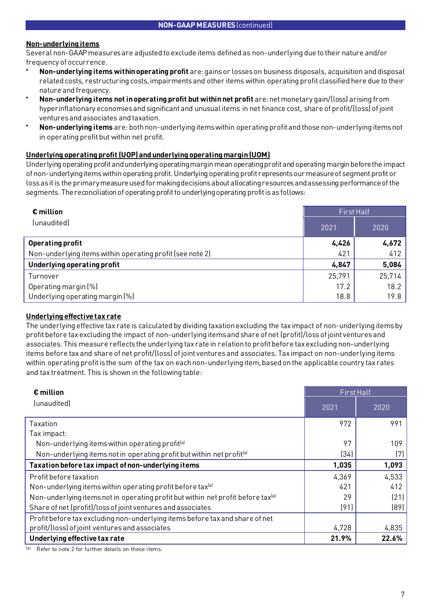# **Non-underlying items**

Several non-GAAP measures are adjusted to exclude items defined as non-underlying due to their nature and/or frequency of occurrence.

- **Non-underlying items within operating profit** are: gains or losses on business disposals, acquisition and disposal related costs, restructuring costs, impairments and other items within operating profit classified here due to their nature and frequency.
- **Non-underlying items not in operating profit but within net profit** are: net monetary gain/(loss) arising from hyperinflationary economies and significant and unusual items in net finance cost, share of profit/(loss) of joint ventures and associates and taxation.
- **Non-underlying items** are: both non-underlying items within operating profit and those non-underlying items not in operating profit but within net profit.

# **Underlying operating profit (UOP) and underlying operating margin (UOM)**

Underlying operating profit and underlying operating margin mean operating profit and operating margin before the impact of non-underlying items within operating profit. Underlying operating profit represents our measure of segment profit or loss as it is the primary measure used for making decisions about allocating resources and assessing performance of the segments. The reconciliation of operating profit to underlying operating profit is as follows:

| $\epsilon$ million                                        | First Half |        |  |
|-----------------------------------------------------------|------------|--------|--|
| (unaudited)                                               | 2021       | 2020   |  |
| <b>Operating profit</b>                                   | 4,426      | 4,672  |  |
| Non-underlying items within operating profit (see note 2) | 421        | 412    |  |
| Underlying operating profit                               | 4,847      | 5,084  |  |
| Turnover                                                  | 25,791     | 25,714 |  |
| Operating margin (%)                                      | 17.2       | 18.2   |  |
| Underlying operating margin (%)                           | 18.8       | 19.8   |  |

# **Underlying effective tax rate**

The underlying effective tax rate is calculated by dividing taxation excluding the tax impact of non-underlying items by profit before tax excluding the impact of non-underlying items and share of net (profit)/loss of joint ventures and associates. This measure reflects the underlying tax rate in relation to profit before tax excluding non-underlying items before tax and share of net profit/(loss) of joint ventures and associates. Tax impact on non-underlying items within operating profit is the sum of the tax on each non-underlying item, based on the applicable country tax rates and tax treatment. This is shown in the following table:

| $\epsilon$ million                                                                           | <b>First Half</b> |       |  |
|----------------------------------------------------------------------------------------------|-------------------|-------|--|
| (unaudited)                                                                                  | 2021              | 2020  |  |
| Taxation                                                                                     | 972               | 991   |  |
| Tax impact:                                                                                  |                   |       |  |
| Non-underlying items within operating profit <sup>(a)</sup>                                  | 97                | 109   |  |
| Non-underlying items not in operating profit but within net profit <sup>[a]</sup>            | (34)              | (7)   |  |
| Taxation before tax impact of non-underlying items                                           | 1,035             | 1,093 |  |
| Profit before taxation                                                                       | 4,369             | 4,533 |  |
| Non-underlying items within operating profit before tax <sup>(a)</sup>                       | 421               | 412   |  |
| Non-underlying items not in operating profit but within net profit before tax <sup>(a)</sup> | 29                | (21)  |  |
| Share of net (profit)/loss of joint ventures and associates                                  | (91)              | (89)  |  |
| Profit before tax excluding non-underlying items before tax and share of net                 |                   |       |  |
| profit/(loss) of joint ventures and associates                                               | 4,728             | 4,835 |  |
| Underlying effective tax rate                                                                | 21.9%             | 22.6% |  |

Refer to note 2 for further details on these items.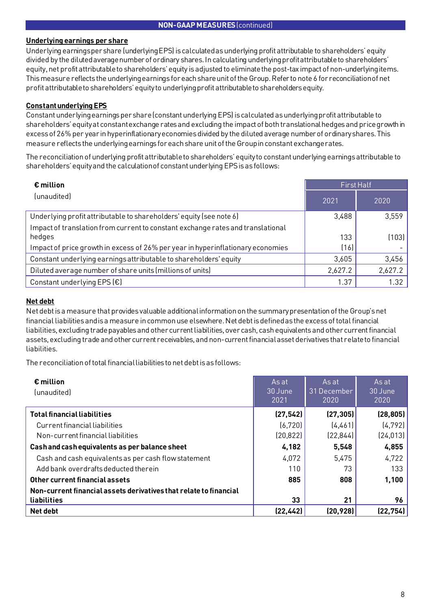## **NON-GAAP MEASURES** (continued)

# **Underlying earnings per share**

Underlying earnings per share (underlying EPS) is calculated as underlying profit attributable to shareholders' equity divided by the diluted average number of ordinary shares. In calculating underlying profit attributable to shareholders' equity, net profit attributable to shareholders' equity is adjusted to eliminate the post-tax impact of non-underlying items. This measure reflects the underlying earnings for each share unit of the Group. Refer to note 6 for reconciliation of net profit attributable to shareholders' equity to underlying profit attributable to shareholders equity.

# **Constant underlying EPS**

Constant underlying earnings per share (constant underlying EPS) is calculated as underlying profit attributable to shareholders' equity at constant exchange rates and excluding the impact of both translational hedges and price growth in excess of 26% per year in hyperinflationary economies divided by the diluted average number of ordinary shares. This measure reflects the underlying earnings for each share unit of the Group in constant exchange rates.

The reconciliation of underlying profit attributable to shareholders' equity to constant underlying earnings attributable to shareholders' equity and the calculation of constant underlying EPS is as follows:

| $\epsilon$ million                                                              | <b>First Half</b> |         |  |
|---------------------------------------------------------------------------------|-------------------|---------|--|
| (unaudited)                                                                     | 2021              | 2020    |  |
| Underlying profit attributable to shareholders' equity (see note 6)             | 3,488             | 3,559   |  |
| Impact of translation from current to constant exchange rates and translational |                   |         |  |
| hedges                                                                          | 133               | (103)   |  |
| Impact of price growth in excess of 26% per year in hyperinflationary economies | (16)              |         |  |
| Constant underlying earnings attributable to shareholders' equity               | 3,605             | 3,456   |  |
| Diluted average number of share units (millions of units)                       | 2,627.2           | 2,627.2 |  |
| Constant underlying EPS $(\epsilon)$                                            | 1.37              | 1.32    |  |

# **Net debt**

Net debt is a measure that provides valuable additional information on the summary presentation of the Group's net financial liabilities and is a measure in common use elsewhere. Net debt is defined as the excess of total financial liabilities, excluding trade payables and other current liabilities, over cash, cash equivalents and other current financial assets, excluding trade and other current receivables, and non-current financial asset derivatives that relate to financial liabilities.

The reconciliation of total financial liabilities to net debt is as follows:

| $\epsilon$ million<br>(unaudited)                                 | As at<br>30 June<br>2021 | As at<br>31 December<br>2020 | As at<br>30 June<br>2020 |
|-------------------------------------------------------------------|--------------------------|------------------------------|--------------------------|
| <b>Total financial liabilities</b>                                | (27, 542)                | (27, 305)                    | (28, 805)                |
| Current financial liabilities                                     | (6, 720)                 | (4,461)                      | (4, 792)                 |
| Non-current financial liabilities                                 | (20, 822)                | (22, 844)                    | (24, 013)                |
| Cash and cash equivalents as per balance sheet                    | 4,182                    | 5,548                        | 4,855                    |
| Cash and cash equivalents as per cash flow statement              | 4,072                    | 5,475                        | 4,722                    |
| Add bank overdrafts deducted therein                              | 110                      | 73                           | 133                      |
| Other current financial assets                                    | 885                      | 808                          | 1,100                    |
| Non-current financial assets derivatives that relate to financial |                          |                              |                          |
| liabilities                                                       | 33                       | 21                           | 96                       |
| Net debt                                                          | (22, 442)                | (20, 928)                    | (22, 754)                |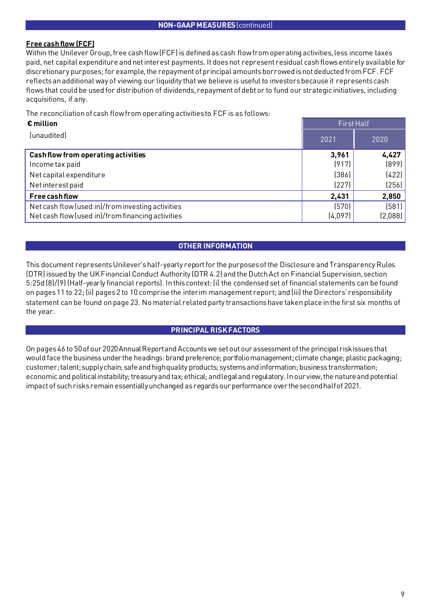# **Free cash flow (FCF)**

Within the Unilever Group, free cash flow (FCF) is defined as cash flow from operating activities, less income taxes paid, net capital expenditure and net interest payments. It does not represent residual cash flows entirely available for discretionary purposes; for example, the repayment of principal amounts borrowed is not deducted from FCF. FCF reflects an additional way of viewing our liquidity that we believe is useful to investors because it represents cash flows that could be used for distribution of dividends, repayment of debt or to fund our strategic initiatives, including acquisitions, if any.

The reconciliation of cash flow from operating activitiesto FCF is as follows:

| $\epsilon$ million                                |         | First Half |
|---------------------------------------------------|---------|------------|
| (unaudited)                                       | 2021    | 2020       |
| Cash flow from operating activities               | 3,961   | 4,427      |
| Income tax paid                                   | (917)   | (899)      |
| Net capital expenditure                           | (386)   | (422)      |
| Net interest paid                                 | (227)   | (256)      |
| <b>Free cash flow</b>                             | 2,431   | 2,850      |
| Net cash flow (used in)/from investing activities | (570)   | (581)      |
| Net cash flow (used in)/from financing activities | (4,097) | (2,088)    |

# **OTHER INFORMATION**

This document represents Unilever's half-yearly report for the purposes of the Disclosure and Transparency Rules (DTR) issued by the UK Financial Conduct Authority (DTR 4.2) and the Dutch Act on Financial Supervision, section 5:25d (8)/(9) (Half-yearly financial reports). In this context: (i) the condensed set of financial statements can be found on pages 11 to 22; (ii) pages 2 to 10 comprise the interim management report; and (iii) the Directors' responsibility statement can be found on page 23. No material related party transactions have taken place in the first six months of the year.

# **PRINCIPAL RISK FACTORS**

On pages 46 to 50of our 2020Annual Report and Accounts we set out our assessment of the principal risk issues that would face the business under the headings: brand preference; portfolio management; climate change; plastic packaging; customer; talent; supply chain; safe and high quality products; systems and information; business transformation; economic and political instability; treasury and tax; ethical; and legal and regulatory. In our view, the nature and potential impactof such risks remain essentially unchanged asregards our performance over the second half of 2021.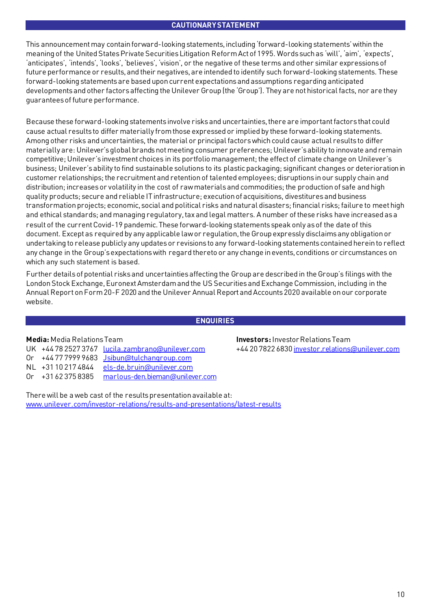## **CAUTIONARY STATEMENT**

This announcement may contain forward-looking statements, including 'forward-looking statements' within the meaning of the United States Private Securities Litigation Reform Act of 1995. Words such as 'will', 'aim', 'expects', 'anticipates', 'intends', 'looks', 'believes', 'vision', or the negative of these terms and other similar expressions of future performance or results, and their negatives, are intended to identify such forward-looking statements. These forward-looking statements are based upon current expectations and assumptions regarding anticipated developments and other factors affecting the Unilever Group (the 'Group'). They are not historical facts, nor are they guarantees of future performance.

Because these forward-looking statements involve risks and uncertainties, there are important factors that could cause actual results to differ materially from those expressed or implied by these forward-looking statements. Among other risks and uncertainties, the material or principal factors which could cause actual results to differ materially are: Unilever's global brands not meeting consumer preferences; Unilever's ability to innovate and remain competitive; Unilever's investment choices in its portfolio management; the effect of climate change on Unilever's business; Unilever's ability to find sustainable solutions to its plastic packaging; significant changes or deterioration in customer relationships; the recruitment and retention of talented employees; disruptions in our supply chain and distribution; increases or volatility in the cost of raw materials and commodities; the production of safe and high quality products; secure and reliable IT infrastructure; execution of acquisitions, divestitures and business transformation projects; economic, social and political risks and natural disasters; financial risks; failure to meet high and ethical standards; and managing regulatory, tax and legal matters. A number of these risks have increased as a result of the current Covid-19 pandemic. These forward-looking statements speak only as of the date of this document. Except as required by any applicable law or regulation, the Group expressly disclaims any obligation or undertaking to release publicly any updates or revisions to any forward-looking statementscontained herein to reflect any change in the Group's expectations with regard thereto or any change in events, conditions or circumstances on which any such statement is based.

Further details of potential risks and uncertainties affecting the Group are described in the Group's filings with the London Stock Exchange, Euronext Amsterdam and the US Securities and Exchange Commission, including in the Annual Report on Form 20-F 2020 and the Unilever Annual Report and Accounts 2020 available on our corporate website.

# **ENQUIRIES**

|  | UK +447825273767 lucila.zambrano@unilever.com         |
|--|-------------------------------------------------------|
|  | Or +447779999683 Jsibun@tulchangroup.com              |
|  | NL +31102174844 els-de.bruin@unilever.com             |
|  | $0r$ +31 62 375 8385 marlous-den. bieman@unilever.com |

**Media:** Media Relations Team **Investors:**Investor Relations Team +44 20 7822 683[0 investor.relations@unilever.com](mailto:investor.relations@unilever.com)

There will be a web cast of the results presentation available at: [www.unilever.com/investor-relations/results-and-presentations/latest-results](https://www.unilever.com/investor-relations/results-and-presentations/latest-results/?utm_source=Qresults&utm_medium=Results-PDF)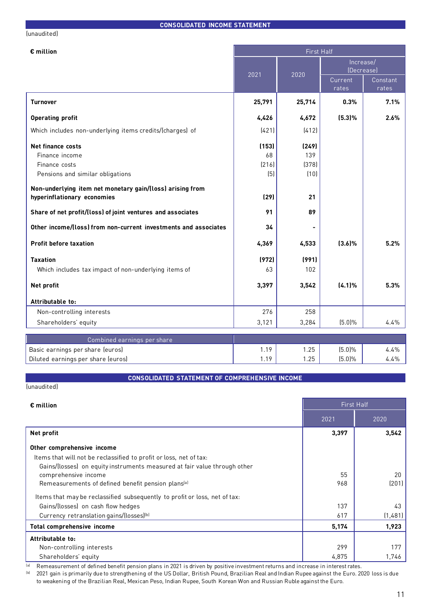## (unaudited)

| $\epsilon$ million                                              |        | <b>First Half</b> |                         |                   |  |
|-----------------------------------------------------------------|--------|-------------------|-------------------------|-------------------|--|
|                                                                 | 2021   | 2020              | Increase/<br>(Decrease) |                   |  |
|                                                                 |        |                   | Current<br>rates        | Constant<br>rates |  |
| <b>Turnover</b>                                                 | 25,791 | 25,714            | 0.3%                    | 7.1%              |  |
| <b>Operating profit</b>                                         | 4,426  | 4,672             | (5.3)%                  | 2.6%              |  |
| Which includes non-underlying items credits/(charges) of        | (421)  | (412)             |                         |                   |  |
| Net finance costs                                               | (153)  | (249)             |                         |                   |  |
| Finance income                                                  | 68     | 139               |                         |                   |  |
| Finance costs                                                   | (216)  | (378)             |                         |                   |  |
| Pensions and similar obligations                                | (5)    | (10)              |                         |                   |  |
| Non-underlying item net monetary gain/(loss) arising from       |        |                   |                         |                   |  |
| hyperinflationary economies                                     | (29)   | 21                |                         |                   |  |
| Share of net profit/(loss) of joint ventures and associates     | 91     | 89                |                         |                   |  |
| Other income/(loss) from non-current investments and associates | 34     |                   |                         |                   |  |
| <b>Profit before taxation</b>                                   | 4,369  | 4,533             | (3.6)%                  | 5.2%              |  |
| <b>Taxation</b>                                                 | (972)  | (991)             |                         |                   |  |
| Which includes tax impact of non-underlying items of            | 63     | 102               |                         |                   |  |
| Net profit                                                      | 3,397  | 3,542             | (4.1%                   | 5.3%              |  |
| Attributable to:                                                |        |                   |                         |                   |  |
| Non-controlling interests                                       | 276    | 258               |                         |                   |  |
| Shareholders' equity                                            | 3,121  | 3,284             | (5.0%                   | 4.4%              |  |
| Combined earnings per share                                     |        |                   |                         |                   |  |
| Basic earnings per share (euros)                                | 1.19   | 1.25              | (5.0%                   | 4.4%              |  |
| Diluted earnings per share (euros)                              | 1.19   | 1.25              | $(5.0)\%$               | 4.4%              |  |

# **CONSOLIDATED STATEMENT OF COMPREHENSIVE INCOME**

## (unaudited)

| $\epsilon$ million                                                         |       | <b>First Half</b> |
|----------------------------------------------------------------------------|-------|-------------------|
|                                                                            | 2021  | 2020              |
| Net profit                                                                 | 3,397 | 3,542             |
| Other comprehensive income                                                 |       |                   |
| Items that will not be reclassified to profit or loss, net of tax:         |       |                   |
| Gains/(losses) on equity instruments measured at fair value through other  |       |                   |
| comprehensive income                                                       | 55    | 20                |
| Remeasurements of defined benefit pension plans <sup>[a]</sup>             | 968   | (201)             |
| Items that may be reclassified subsequently to profit or loss, net of tax: |       |                   |
| Gains/(losses) on cash flow hedges                                         | 137   | 43                |
| Currency retranslation gains/(losses) <sup>(b)</sup>                       | 617   | (1,481)           |
| <b>Total comprehensive income</b>                                          | 5,174 | 1,923             |
| Attributable to:                                                           |       |                   |
| Non-controlling interests                                                  | 299   | 177               |
| Shareholders' equity                                                       | 4,875 | 1,746             |

(a) Remeasurement of defined benefit pension plans in 2021 is driven by positive investment returns and increase in interest rates.

(b) 2021 gain is primarily due to strengthening of the US Dollar, British Pound, Brazilian Real and Indian Rupee against the Euro. 2020 loss is due to weakening of the Brazilian Real, Mexican Peso, Indian Rupee, South Korean Won and Russian Ruble against the Euro.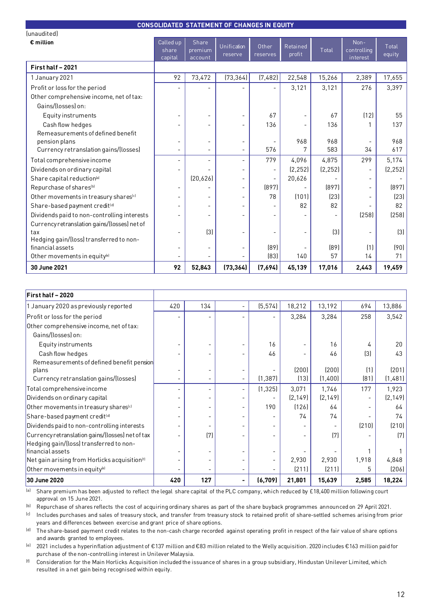| <b>CONSOLIDATED STATEMENT OF CHANGES IN EQUITY</b> |                               |                             |                              |                   |                    |          |                                 |                 |
|----------------------------------------------------|-------------------------------|-----------------------------|------------------------------|-------------------|--------------------|----------|---------------------------------|-----------------|
| (unaudited)                                        |                               |                             |                              |                   |                    |          |                                 |                 |
| $\epsilon$ million                                 | Called up<br>share<br>capital | Share<br>premium<br>account | Unification<br>reserve       | Other<br>reserves | Retained<br>profit | Total    | Non-<br>controlling<br>interest | Total<br>equity |
| First half - 2021                                  |                               |                             |                              |                   |                    |          |                                 |                 |
| 1 January 2021                                     | 92                            | 73,472                      | (73, 364)                    | (7,482)           | 22,548             | 15,266   | 2,389                           | 17,655          |
| Profit or loss for the period                      |                               |                             |                              |                   | 3,121              | 3,121    | 276                             | 3,397           |
| Other comprehensive income, net of tax:            |                               |                             |                              |                   |                    |          |                                 |                 |
| Gains/(losses) on:                                 |                               |                             |                              |                   |                    |          |                                 |                 |
| Equity instruments                                 |                               |                             |                              | 67                |                    | 67       | (12)                            | 55              |
| Cash flow hedges                                   |                               | $\equiv$                    |                              | 136               |                    | 136      |                                 | 137             |
| Remeasurements of defined benefit                  |                               |                             |                              |                   |                    |          |                                 |                 |
| pension plans                                      |                               | $\qquad \qquad -$           | $\overline{\phantom{a}}$     |                   | 968                | 968      |                                 | 968             |
| Currency retranslation gains/(losses)              | $\overline{\phantom{a}}$      | $\overline{\phantom{0}}$    | $\blacksquare$               | 576               |                    | 583      | 34                              | 617             |
| Total comprehensive income                         | $\overline{\phantom{0}}$      | $\overline{\phantom{0}}$    | $\overline{\phantom{a}}$     | 779               | 4,096              | 4,875    | 299                             | 5,174           |
| Dividends on ordinary capital                      |                               |                             | $\blacksquare$               |                   | (2, 252)           | (2, 252) |                                 | (2, 252)        |
| Share capital reduction <sup>[a]</sup>             |                               | (20, 626)                   | $\qquad \qquad \blacksquare$ |                   | 20,626             |          |                                 |                 |
| Repurchase of shares <sup>(b)</sup>                | ۰                             |                             | $\qquad \qquad \blacksquare$ | (897)             |                    | (897)    |                                 | [897]           |
| Other movements in treasury shares <sup>(c)</sup>  | $\overline{a}$                | ۰                           | $\blacksquare$               | 78                | (101)              | [23]     |                                 | (23)            |
| Share-based payment credit <sup>(d)</sup>          |                               | $\overline{\phantom{0}}$    |                              |                   | 82                 | 82       |                                 | 82              |
| Dividends paid to non-controlling interests        |                               |                             |                              |                   |                    |          | (258)                           | (258)           |
| Currency retranslation gains/(losses) net of       |                               |                             |                              |                   |                    |          |                                 |                 |
| tax                                                |                               | $[3]$                       |                              |                   |                    | $[3]$    |                                 | $[3]$           |
| Hedging gain/(loss) transferred to non-            |                               |                             |                              |                   |                    |          |                                 |                 |
| financial assets                                   |                               | ۰                           |                              | [89]              |                    | [89]     | (1)                             | (90)            |
| Other movements in equity <sup>(e)</sup>           |                               | L.                          |                              | [83]              | 140                | 57       | 14                              | 71              |
| 30 June 2021                                       | 92                            | 52,843                      | (73, 364)                    | (7,694)           | 45,139             | 17,016   | 2,443                           | 19,459          |

| First half - 2020                                           |     |     |                          |          |          |          |                  |          |
|-------------------------------------------------------------|-----|-----|--------------------------|----------|----------|----------|------------------|----------|
| 1 January 2020 as previously reported                       | 420 | 134 |                          | (5, 574) | 18,212   | 13,192   | 694              | 13,886   |
| Profit or loss for the period                               |     |     |                          |          | 3,284    | 3,284    | 258              | 3,542    |
| Other comprehensive income, net of tax:                     |     |     |                          |          |          |          |                  |          |
| Gains/(losses) on:                                          |     |     |                          |          |          |          |                  |          |
| Equity instruments                                          |     |     |                          | 16       |          | 16       | 4                | 20       |
| Cash flow hedges                                            |     |     |                          | 46       |          | 46       | $\left[3\right]$ | 43       |
| Remeasurements of defined benefit pension<br>plans          |     |     |                          |          | (200)    | (200)    | (1)              | (201)    |
| Currency retranslation gains/(losses)                       |     |     | $\overline{\phantom{0}}$ | (1, 387) | (13)     | (1,400)  | (81)             | (1,481)  |
| Total comprehensive income                                  |     |     |                          | (1, 325) | 3,071    | 1,746    | 177              | 1,923    |
| Dividends on ordinary capital                               |     |     |                          |          | [2, 149] | [2, 149] |                  | [2, 149] |
| Other movements in treasury shares <sup>[c]</sup>           |     |     |                          | 190      | (126)    | 64       |                  | 64       |
| Share-based payment credit <sup>(d)</sup>                   |     |     |                          |          | 74       | 74       |                  | 74       |
| Dividends paid to non-controlling interests                 |     |     |                          |          |          |          | (210)            | (210)    |
| Currency retranslation gains/(losses) net of tax            |     | (7) |                          |          |          | (7)      |                  | (7)      |
| Hedging gain/(loss) transferred to non-<br>financial assets |     |     |                          |          |          |          |                  |          |
| Net gain arising from Horlicks acquisition <sup>(f)</sup>   |     |     |                          |          | 2,930    | 2,930    | 1,918            | 4,848    |
| Other movements in equity®                                  |     |     |                          |          | (211)    | (211)    | 5                | (206)    |
| 30 June 2020                                                | 420 | 127 |                          | (6, 709) | 21,801   | 15,639   | 2,585            | 18,224   |

(a) Share premium has been adjusted to reflect the legal share capital of the PLC company, which reduced by £18,400 million following court approval on 15 June 2021.

(b) Repurchase of shares reflects the cost of acquiring ordinary shares as part of the share buyback programmes announced on 29 April 2021.

(c) Includes purchases and sales of treasury stock, and transfer from treasury stock to retained profit of share-settled schemes arising from prior years and differences between exercise and grant price of share options.

<sup>(d)</sup> The share-based payment credit relates to the non-cash charge recorded against operating profit in respect of the fair value of share options and awards granted to employees.

(e) 2021 includes a hyperinflation adjustment of €137 million and €83 million related to the Welly acquisition. 2020 includes €163 million paid for purchase of the non-controlling interest in Unilever Malaysia.

(f) Consideration for the Main Horlicks Acquisition included the issuance of shares in a group subsidiary, Hindustan Unilever Limited, which resulted in a net gain being recognised within equity.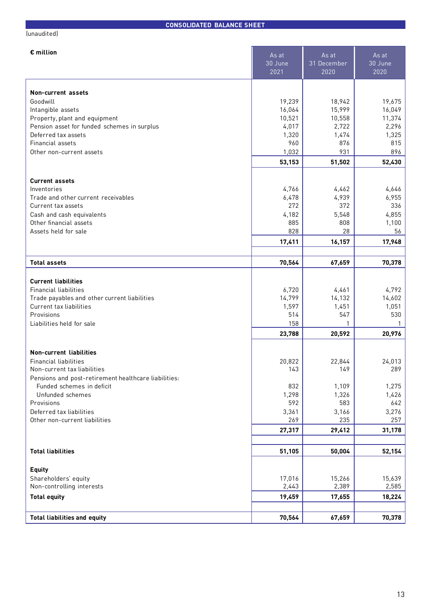| (unaudited)                                          |                          |                              |                          |
|------------------------------------------------------|--------------------------|------------------------------|--------------------------|
| € million                                            | As at<br>30 June<br>2021 | As at<br>31 December<br>2020 | As at<br>30 June<br>2020 |
| Non-current assets                                   |                          |                              |                          |
| Goodwill                                             | 19,239                   | 18,942                       | 19,675                   |
| Intangible assets                                    | 16,064                   | 15,999                       | 16,049                   |
| Property, plant and equipment                        | 10,521                   | 10,558                       | 11,374                   |
| Pension asset for funded schemes in surplus          | 4,017                    | 2,722                        | 2,296                    |
| Deferred tax assets                                  | 1,320                    | 1,474                        | 1,325                    |
| Financial assets                                     | 960                      | 876                          | 815                      |
| Other non-current assets                             | 1,032                    | 931                          | 896                      |
|                                                      | 53,153                   | 51,502                       | 52,430                   |
| <b>Current assets</b>                                |                          |                              |                          |
| Inventories                                          | 4,766                    | 4,462                        | 4,646                    |
| Trade and other current receivables                  | 6,478                    | 4,939                        | 6,955                    |
| Current tax assets                                   | 272                      | 372                          | 336                      |
| Cash and cash equivalents                            | 4,182                    | 5,548                        | 4,855                    |
| Other financial assets                               | 885                      | 808                          | 1,100                    |
| Assets held for sale                                 | 828                      | 28                           | 56                       |
|                                                      | 17,411                   | 16,157                       | 17,948                   |
|                                                      |                          |                              |                          |
| <b>Total assets</b>                                  | 70,564                   | 67,659                       | 70,378                   |
| <b>Current liabilities</b>                           |                          |                              |                          |
| <b>Financial liabilities</b>                         | 6,720                    | 4,461                        | 4,792                    |
| Trade payables and other current liabilities         | 14,799                   | 14,132                       | 14,602                   |
| Current tax liabilities                              | 1,597                    | 1,451                        | 1,051                    |
| Provisions                                           | 514                      | 547                          | 530                      |
| Liabilities held for sale                            | 158                      | 1                            | 1                        |
|                                                      | 23,788                   | 20,592                       | 20,976                   |
| <b>Non-current liabilities</b>                       |                          |                              |                          |
| <b>Financial liabilities</b>                         | 20,822                   | 22,844                       | 24,013                   |
| Non-current tax liabilities                          | 143                      | 149                          | 289                      |
| Pensions and post-retirement healthcare liabilities: |                          |                              |                          |
| Funded schemes in deficit                            | 832                      | 1,109                        | 1,275                    |
| Unfunded schemes                                     | 1,298                    | 1,326                        | 1,426                    |
| Provisions                                           | 592                      | 583                          | 642                      |
| Deferred tax liabilities                             | 3,361                    | 3,166                        | 3,276                    |
| Other non-current liabilities                        | 269                      | 235                          | 257                      |

**Total liabilities 51,105 50,004 52,154 Equity** Shareholders' equity 15,639 Non-controlling interests 2,585 **Total equity 19,459 17,655 18,224 Total liabilities and equity 70,564 67,659 70,378**

**27,317 29,412 31,178**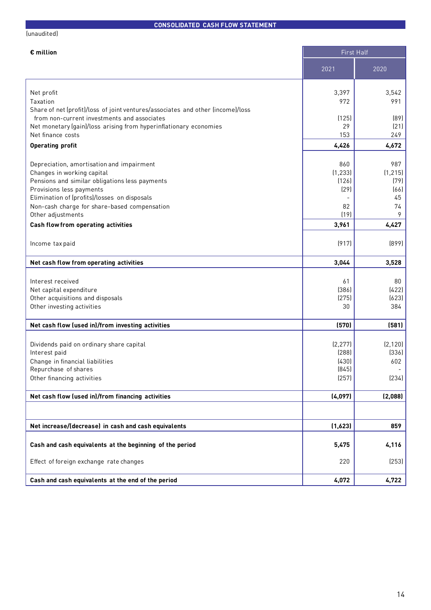## (unaudited)

# **CONSOLIDATED CASH FLOW STATEMENT**

**The Contract** 

|  | iillion |  |  |
|--|---------|--|--|

| 2021<br>2020<br>Net profit<br>3,397<br>3,542<br>Taxation<br>972<br>991<br>Share of net (profit)/loss of joint ventures/associates and other (income)/loss<br>from non-current investments and associates<br>(125)<br>(89)<br>Net monetary (gain)/loss arising from hyperinflationary economies<br>29<br>(21)<br>Net finance costs<br>153<br>249<br>4,426<br>4,672<br><b>Operating profit</b><br>860<br>987<br>Depreciation, amortisation and impairment<br>(1, 233)<br>(1, 215)<br>Changes in working capital<br>Pensions and similar obligations less payments<br>(126)<br>(79)<br>Provisions less payments<br>(29)<br>(66)<br>Elimination of (profits)/losses on disposals<br>45<br>Non-cash charge for share-based compensation<br>82<br>74<br>9<br>(19)<br>Other adjustments<br>4,427<br><b>Cash flow from operating activities</b><br>3,961<br>(917)<br>(899)<br>Income tax paid<br>3,044<br>3,528<br>Net cash flow from operating activities<br>Interest received<br>61<br>80<br>(386)<br>(422)<br>Net capital expenditure<br>(275)<br>(623)<br>Other acquisitions and disposals<br>384<br>Other investing activities<br>30<br>Net cash flow (used in)/from investing activities<br>(570)<br>(581)<br>(2, 277)<br>(2, 120)<br>Dividends paid on ordinary share capital<br>(288)<br>(336)<br>Interest paid<br>Change in financial liabilities<br>(430)<br>602<br>(845)<br>Repurchase of shares<br>Other financing activities<br>(257)<br>(234)<br>(4,097)<br>(2,088)<br>Net cash flow (used in)/from financing activities<br>Net increase/(decrease) in cash and cash equivalents<br>(1,623)<br>859<br>Cash and cash equivalents at the beginning of the period<br>5,475<br>4,116<br>(253)<br>Effect of foreign exchange rate changes<br>220<br>Cash and cash equivalents at the end of the period<br>4,072<br>4,722 | $\epsilon$ million | <b>First Half</b> |  |
|---------------------------------------------------------------------------------------------------------------------------------------------------------------------------------------------------------------------------------------------------------------------------------------------------------------------------------------------------------------------------------------------------------------------------------------------------------------------------------------------------------------------------------------------------------------------------------------------------------------------------------------------------------------------------------------------------------------------------------------------------------------------------------------------------------------------------------------------------------------------------------------------------------------------------------------------------------------------------------------------------------------------------------------------------------------------------------------------------------------------------------------------------------------------------------------------------------------------------------------------------------------------------------------------------------------------------------------------------------------------------------------------------------------------------------------------------------------------------------------------------------------------------------------------------------------------------------------------------------------------------------------------------------------------------------------------------------------------------------------------------------------------------------------------------------------------------|--------------------|-------------------|--|
|                                                                                                                                                                                                                                                                                                                                                                                                                                                                                                                                                                                                                                                                                                                                                                                                                                                                                                                                                                                                                                                                                                                                                                                                                                                                                                                                                                                                                                                                                                                                                                                                                                                                                                                                                                                                                           |                    |                   |  |
|                                                                                                                                                                                                                                                                                                                                                                                                                                                                                                                                                                                                                                                                                                                                                                                                                                                                                                                                                                                                                                                                                                                                                                                                                                                                                                                                                                                                                                                                                                                                                                                                                                                                                                                                                                                                                           |                    |                   |  |
|                                                                                                                                                                                                                                                                                                                                                                                                                                                                                                                                                                                                                                                                                                                                                                                                                                                                                                                                                                                                                                                                                                                                                                                                                                                                                                                                                                                                                                                                                                                                                                                                                                                                                                                                                                                                                           |                    |                   |  |
|                                                                                                                                                                                                                                                                                                                                                                                                                                                                                                                                                                                                                                                                                                                                                                                                                                                                                                                                                                                                                                                                                                                                                                                                                                                                                                                                                                                                                                                                                                                                                                                                                                                                                                                                                                                                                           |                    |                   |  |
|                                                                                                                                                                                                                                                                                                                                                                                                                                                                                                                                                                                                                                                                                                                                                                                                                                                                                                                                                                                                                                                                                                                                                                                                                                                                                                                                                                                                                                                                                                                                                                                                                                                                                                                                                                                                                           |                    |                   |  |
|                                                                                                                                                                                                                                                                                                                                                                                                                                                                                                                                                                                                                                                                                                                                                                                                                                                                                                                                                                                                                                                                                                                                                                                                                                                                                                                                                                                                                                                                                                                                                                                                                                                                                                                                                                                                                           |                    |                   |  |
|                                                                                                                                                                                                                                                                                                                                                                                                                                                                                                                                                                                                                                                                                                                                                                                                                                                                                                                                                                                                                                                                                                                                                                                                                                                                                                                                                                                                                                                                                                                                                                                                                                                                                                                                                                                                                           |                    |                   |  |
|                                                                                                                                                                                                                                                                                                                                                                                                                                                                                                                                                                                                                                                                                                                                                                                                                                                                                                                                                                                                                                                                                                                                                                                                                                                                                                                                                                                                                                                                                                                                                                                                                                                                                                                                                                                                                           |                    |                   |  |
|                                                                                                                                                                                                                                                                                                                                                                                                                                                                                                                                                                                                                                                                                                                                                                                                                                                                                                                                                                                                                                                                                                                                                                                                                                                                                                                                                                                                                                                                                                                                                                                                                                                                                                                                                                                                                           |                    |                   |  |
|                                                                                                                                                                                                                                                                                                                                                                                                                                                                                                                                                                                                                                                                                                                                                                                                                                                                                                                                                                                                                                                                                                                                                                                                                                                                                                                                                                                                                                                                                                                                                                                                                                                                                                                                                                                                                           |                    |                   |  |
|                                                                                                                                                                                                                                                                                                                                                                                                                                                                                                                                                                                                                                                                                                                                                                                                                                                                                                                                                                                                                                                                                                                                                                                                                                                                                                                                                                                                                                                                                                                                                                                                                                                                                                                                                                                                                           |                    |                   |  |
|                                                                                                                                                                                                                                                                                                                                                                                                                                                                                                                                                                                                                                                                                                                                                                                                                                                                                                                                                                                                                                                                                                                                                                                                                                                                                                                                                                                                                                                                                                                                                                                                                                                                                                                                                                                                                           |                    |                   |  |
|                                                                                                                                                                                                                                                                                                                                                                                                                                                                                                                                                                                                                                                                                                                                                                                                                                                                                                                                                                                                                                                                                                                                                                                                                                                                                                                                                                                                                                                                                                                                                                                                                                                                                                                                                                                                                           |                    |                   |  |
|                                                                                                                                                                                                                                                                                                                                                                                                                                                                                                                                                                                                                                                                                                                                                                                                                                                                                                                                                                                                                                                                                                                                                                                                                                                                                                                                                                                                                                                                                                                                                                                                                                                                                                                                                                                                                           |                    |                   |  |
|                                                                                                                                                                                                                                                                                                                                                                                                                                                                                                                                                                                                                                                                                                                                                                                                                                                                                                                                                                                                                                                                                                                                                                                                                                                                                                                                                                                                                                                                                                                                                                                                                                                                                                                                                                                                                           |                    |                   |  |
|                                                                                                                                                                                                                                                                                                                                                                                                                                                                                                                                                                                                                                                                                                                                                                                                                                                                                                                                                                                                                                                                                                                                                                                                                                                                                                                                                                                                                                                                                                                                                                                                                                                                                                                                                                                                                           |                    |                   |  |
|                                                                                                                                                                                                                                                                                                                                                                                                                                                                                                                                                                                                                                                                                                                                                                                                                                                                                                                                                                                                                                                                                                                                                                                                                                                                                                                                                                                                                                                                                                                                                                                                                                                                                                                                                                                                                           |                    |                   |  |
|                                                                                                                                                                                                                                                                                                                                                                                                                                                                                                                                                                                                                                                                                                                                                                                                                                                                                                                                                                                                                                                                                                                                                                                                                                                                                                                                                                                                                                                                                                                                                                                                                                                                                                                                                                                                                           |                    |                   |  |
|                                                                                                                                                                                                                                                                                                                                                                                                                                                                                                                                                                                                                                                                                                                                                                                                                                                                                                                                                                                                                                                                                                                                                                                                                                                                                                                                                                                                                                                                                                                                                                                                                                                                                                                                                                                                                           |                    |                   |  |
|                                                                                                                                                                                                                                                                                                                                                                                                                                                                                                                                                                                                                                                                                                                                                                                                                                                                                                                                                                                                                                                                                                                                                                                                                                                                                                                                                                                                                                                                                                                                                                                                                                                                                                                                                                                                                           |                    |                   |  |
|                                                                                                                                                                                                                                                                                                                                                                                                                                                                                                                                                                                                                                                                                                                                                                                                                                                                                                                                                                                                                                                                                                                                                                                                                                                                                                                                                                                                                                                                                                                                                                                                                                                                                                                                                                                                                           |                    |                   |  |
|                                                                                                                                                                                                                                                                                                                                                                                                                                                                                                                                                                                                                                                                                                                                                                                                                                                                                                                                                                                                                                                                                                                                                                                                                                                                                                                                                                                                                                                                                                                                                                                                                                                                                                                                                                                                                           |                    |                   |  |
|                                                                                                                                                                                                                                                                                                                                                                                                                                                                                                                                                                                                                                                                                                                                                                                                                                                                                                                                                                                                                                                                                                                                                                                                                                                                                                                                                                                                                                                                                                                                                                                                                                                                                                                                                                                                                           |                    |                   |  |
|                                                                                                                                                                                                                                                                                                                                                                                                                                                                                                                                                                                                                                                                                                                                                                                                                                                                                                                                                                                                                                                                                                                                                                                                                                                                                                                                                                                                                                                                                                                                                                                                                                                                                                                                                                                                                           |                    |                   |  |
|                                                                                                                                                                                                                                                                                                                                                                                                                                                                                                                                                                                                                                                                                                                                                                                                                                                                                                                                                                                                                                                                                                                                                                                                                                                                                                                                                                                                                                                                                                                                                                                                                                                                                                                                                                                                                           |                    |                   |  |
|                                                                                                                                                                                                                                                                                                                                                                                                                                                                                                                                                                                                                                                                                                                                                                                                                                                                                                                                                                                                                                                                                                                                                                                                                                                                                                                                                                                                                                                                                                                                                                                                                                                                                                                                                                                                                           |                    |                   |  |
|                                                                                                                                                                                                                                                                                                                                                                                                                                                                                                                                                                                                                                                                                                                                                                                                                                                                                                                                                                                                                                                                                                                                                                                                                                                                                                                                                                                                                                                                                                                                                                                                                                                                                                                                                                                                                           |                    |                   |  |
|                                                                                                                                                                                                                                                                                                                                                                                                                                                                                                                                                                                                                                                                                                                                                                                                                                                                                                                                                                                                                                                                                                                                                                                                                                                                                                                                                                                                                                                                                                                                                                                                                                                                                                                                                                                                                           |                    |                   |  |
|                                                                                                                                                                                                                                                                                                                                                                                                                                                                                                                                                                                                                                                                                                                                                                                                                                                                                                                                                                                                                                                                                                                                                                                                                                                                                                                                                                                                                                                                                                                                                                                                                                                                                                                                                                                                                           |                    |                   |  |
|                                                                                                                                                                                                                                                                                                                                                                                                                                                                                                                                                                                                                                                                                                                                                                                                                                                                                                                                                                                                                                                                                                                                                                                                                                                                                                                                                                                                                                                                                                                                                                                                                                                                                                                                                                                                                           |                    |                   |  |
|                                                                                                                                                                                                                                                                                                                                                                                                                                                                                                                                                                                                                                                                                                                                                                                                                                                                                                                                                                                                                                                                                                                                                                                                                                                                                                                                                                                                                                                                                                                                                                                                                                                                                                                                                                                                                           |                    |                   |  |
|                                                                                                                                                                                                                                                                                                                                                                                                                                                                                                                                                                                                                                                                                                                                                                                                                                                                                                                                                                                                                                                                                                                                                                                                                                                                                                                                                                                                                                                                                                                                                                                                                                                                                                                                                                                                                           |                    |                   |  |
|                                                                                                                                                                                                                                                                                                                                                                                                                                                                                                                                                                                                                                                                                                                                                                                                                                                                                                                                                                                                                                                                                                                                                                                                                                                                                                                                                                                                                                                                                                                                                                                                                                                                                                                                                                                                                           |                    |                   |  |
|                                                                                                                                                                                                                                                                                                                                                                                                                                                                                                                                                                                                                                                                                                                                                                                                                                                                                                                                                                                                                                                                                                                                                                                                                                                                                                                                                                                                                                                                                                                                                                                                                                                                                                                                                                                                                           |                    |                   |  |
|                                                                                                                                                                                                                                                                                                                                                                                                                                                                                                                                                                                                                                                                                                                                                                                                                                                                                                                                                                                                                                                                                                                                                                                                                                                                                                                                                                                                                                                                                                                                                                                                                                                                                                                                                                                                                           |                    |                   |  |
|                                                                                                                                                                                                                                                                                                                                                                                                                                                                                                                                                                                                                                                                                                                                                                                                                                                                                                                                                                                                                                                                                                                                                                                                                                                                                                                                                                                                                                                                                                                                                                                                                                                                                                                                                                                                                           |                    |                   |  |
|                                                                                                                                                                                                                                                                                                                                                                                                                                                                                                                                                                                                                                                                                                                                                                                                                                                                                                                                                                                                                                                                                                                                                                                                                                                                                                                                                                                                                                                                                                                                                                                                                                                                                                                                                                                                                           |                    |                   |  |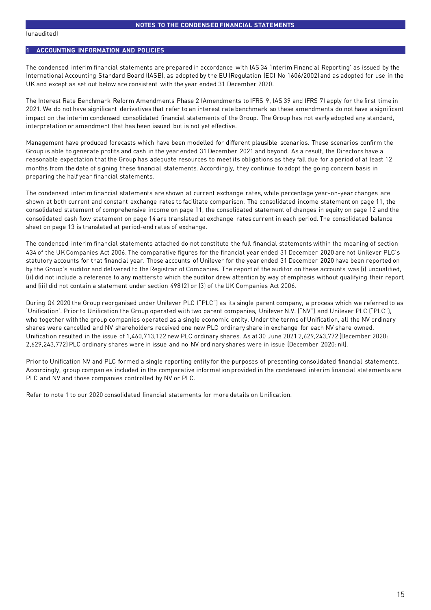## **1 ACCOUNTING INFORMATION AND POLICIES**

The condensed interim financial statements are prepared in accordance with IAS 34 'Interim Financial Reporting' as issued by the International Accounting Standard Board (IASB), as adopted by the EU (Regulation (EC) No 1606/2002) and as adopted for use in the UK and except as set out below are consistent with the year ended 31 December 2020.

The Interest Rate Benchmark Reform Amendments Phase 2 (Amendments to IFRS 9, IAS 39 and IFRS 7) apply for the first time in 2021. We do not have significant derivatives that refer to an interest rate benchmark so these amendments do not have a significant impact on the interim condensed consolidated financial statements of the Group. The Group has not early adopted any standard, interpretation or amendment that has been issued but is not yet effective.

Management have produced forecasts which have been modelled for different plausible scenarios. These scenarios confirm the Group is able to generate profits and cash in the year ended 31 December 2021 and beyond. As a result, the Directors have a reasonable expectation that the Group has adequate resources to meet its obligations as they fall due for a period of at least 12 months from the date of signing these financial statements. Accordingly, they continue to adopt the going concern basis in preparing the half year financial statements.

The condensed interim financial statements are shown at current exchange rates, while percentage year-on-year changes are shown at both current and constant exchange rates to facilitate comparison. The consolidated income statement on page 11, the consolidated statement of comprehensive income on page 11, the consolidated statement of changes in equity on page 12 and the consolidated cash flow statement on page 14 are translated at exchange rates current in each period. The consolidated balance sheet on page 13 is translated at period-end rates of exchange.

The condensed interim financial statements attached do not constitute the full financial statements within the meaning of section 434 of the UK Companies Act 2006. The comparative figures for the financial year ended 31 December 2020 are not Unilever PLC's statutory accounts for that financial year. Those accounts of Unilever for the year ended 31 December 2020 have been reported on by the Group's auditor and delivered to the Registrar of Companies. The report of the auditor on these accounts was (i) unqualified, (ii) did not include a reference to any matters to which the auditor drew attention by way of emphasis without qualifying their report, and (iii) did not contain a statement under section 498 (2) or (3) of the UK Companies Act 2006.

During Q4 2020 the Group reorganised under Unilever PLC ("PLC") as its single parent company, a process which we referred to as 'Unification'. Prior to Unification the Group operated with two parent companies, Unilever N.V. ("NV") and Unilever PLC ("PLC"), who together with the group companies operated as a single economic entity. Under the terms of Unification, all the NV ordinary shares were cancelled and NV shareholders received one new PLC ordinary share in exchange for each NV share owned. Unification resulted in the issue of 1,460,713,122 new PLC ordinary shares. As at 30 June 2021 2,629,243,772 (December 2020: 2,629,243,772) PLC ordinary shares were in issue and no NV ordinary shares were in issue (December 2020: nil).

Prior to Unification NV and PLC formed a single reporting entity for the purposes of presenting consolidated financial statements. Accordingly, group companies included in the comparative information provided in the condensed interim financial statements are PLC and NV and those companies controlled by NV or PLC.

Refer to note 1 to our 2020 consolidated financial statements for more details on Unification.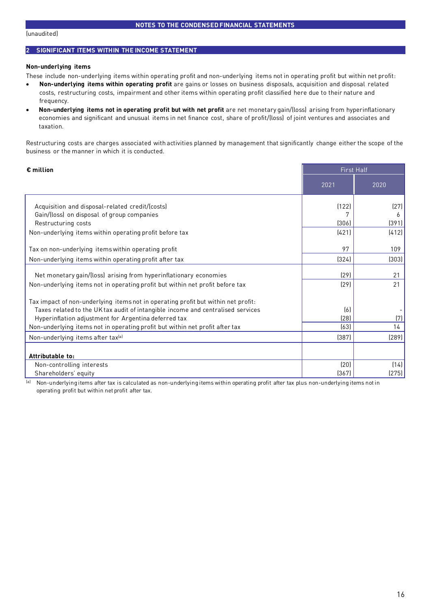#### (unaudited)

### **2 SIGNIFICANT ITEMS WITHIN THE INCOME STATEMENT**

#### **Non-underlying items**

These include non-underlying items within operating profit and non-underlying items not in operating profit but within net profit:

- **Non-underlying items within operating profit** are gains or losses on business disposals, acquisition and disposal related costs, restructuring costs, impairment and other items within operating profit classified here due to their nature and frequency.
- **Non-underlying items not in operating profit but with net profit** are net monetary gain/(loss) arising from hyperinflationary economies and significant and unusual items in net finance cost, share of profit/(loss) of joint ventures and associates and taxation.

Restructuring costs are charges associated with activities planned by management that significantly change either the scope of the business or the manner in which it is conducted.

| $\epsilon$ million                                                                |       | <b>First Half</b> |
|-----------------------------------------------------------------------------------|-------|-------------------|
|                                                                                   | 2021  | 2020              |
| Acquisition and disposal-related credit/(costs)                                   | (122) | (27)              |
| Gain/(loss) on disposal of group companies                                        |       | 6                 |
| Restructuring costs                                                               | (306) | (391)             |
| Non-underlying items within operating profit before tax                           | (421) | (412)             |
| Tax on non-underlying items within operating profit                               | 97    | 109               |
| Non-underlying items within operating profit after tax                            | (324) | (303)             |
| Net monetary gain/(loss) arising from hyperinflationary economies                 | (29)  | 21                |
| Non-underlying items not in operating profit but within net profit before tax     | (29)  | 21                |
| Tax impact of non-underlying items not in operating profit but within net profit: |       |                   |
| Taxes related to the UK tax audit of intangible income and centralised services   | [6]   |                   |
| Hyperinflation adjustment for Argentina deferred tax                              | (28)  | (7)               |
| Non-underlying items not in operating profit but within net profit after tax      | (63)  | 14                |
| Non-underlying items after tax <sup>(a)</sup>                                     | (387) | (289)             |
| Attributable to:                                                                  |       |                   |
| Non-controlling interests                                                         | (20)  | (14)              |
| Shareholders' equity                                                              | (367) | (275)             |

(a) Non-underlying items after tax is calculated as non-underlying items within operating profit after tax plus non-underlying items not in operating profit but within net profit after tax.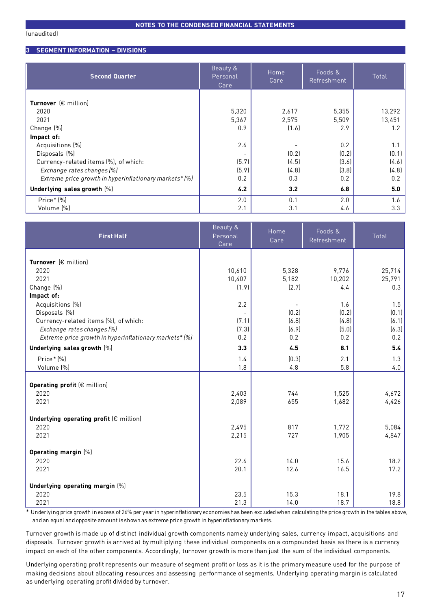**3 SEGMENT INFORMATION – DIVISIONS**

| <b>Second Quarter</b>                                  | Beauty &<br>Personal<br>Care | Home<br>Care |       | Total  |
|--------------------------------------------------------|------------------------------|--------------|-------|--------|
|                                                        |                              |              |       |        |
| Turnover $(\epsilon$ million)                          |                              |              |       |        |
| 2020                                                   | 5,320                        | 2,617        | 5,355 | 13,292 |
| 2021                                                   | 5,367                        | 2,575        | 5,509 | 13,451 |
| Change (%)                                             | 0.9                          | (1.6)        | 2.9   | 1.2    |
| Impact of:                                             |                              |              |       |        |
| Acquisitions (%)                                       | 2.6                          |              | 0.2   | 1.1    |
| Disposals (%)                                          |                              | (0.2)        | (0.2) | (0.1)  |
| Currency-related items (%), of which:                  | (5.7)                        | (4.5)        | (3.6) | (4.6)  |
| Exchange rates changes (%)                             | (5.9)                        | (4.8)        | (3.8) | (4.8)  |
| Extreme price growth in hyperinflationary markets* (%) | 0.2                          | 0.3          | 0.2   | 0.2    |
| Underlying sales growth [%]                            | 4.2                          | 3.2          | 6.8   | 5.0    |
| Price* (%)                                             | 2.0                          | 0.1          | 2.0   | 1.6    |
| Volume (%)                                             | 2.1                          | 3.1          | 4.6   | 3.3    |

| <b>First Half</b>                                      | Beauty &<br>Personal<br>Care | Home<br>Care   | Foods &<br>Refreshment | Total        |
|--------------------------------------------------------|------------------------------|----------------|------------------------|--------------|
|                                                        |                              |                |                        |              |
| Turnover (€ million)                                   |                              |                |                        |              |
| 2020                                                   | 10,610                       | 5,328          | 9,776                  | 25,714       |
| 2021                                                   | 10,407                       | 5,182          | 10,202                 | 25,791       |
| Change [%]                                             | (1.9)                        | (2.7)          | 4.4                    | 0.3          |
| Impact of:                                             |                              |                |                        |              |
| Acquisitions (%)                                       | 2.2                          |                | 1.6<br>[0.2]           | 1.5<br>[0.1] |
| Disposals (%)<br>Currency-related items (%), of which: | (7.1)                        | [0.2]<br>(6.8) | (4.8)                  | [6.1]        |
| Exchange rates changes (%)                             | (7.3)                        | (6.9)          | (5.0)                  | (6.3)        |
| Extreme price growth in hyperinflationary markets* (%) | 0.2                          | 0.2            | 0.2                    | 0.2          |
|                                                        |                              |                |                        |              |
| Underlying sales growth [%]                            | 3.3                          | 4.5            | 8.1                    | 5.4          |
| Price* (%)                                             | 1.4                          | (0.3)          | 2.1                    | 1.3          |
| Volume (%)                                             | 1.8                          | 4.8            | 5.8                    | 4.0          |
|                                                        |                              |                |                        |              |
| Operating profit (€ million)                           |                              |                |                        |              |
| 2020                                                   | 2,403                        | 744            | 1,525                  | 4,672        |
| 2021                                                   | 2,089                        | 655            | 1,682                  | 4,426        |
| Underlying operating profit $(\epsilon$ million)       |                              |                |                        |              |
| 2020                                                   | 2,495                        | 817            | 1,772                  | 5,084        |
| 2021                                                   | 2,215                        | 727            | 1,905                  | 4,847        |
|                                                        |                              |                |                        |              |
| Operating margin [%]                                   |                              |                |                        |              |
| 2020                                                   | 22.6                         | 14.0           | 15.6                   | 18.2         |
| 2021                                                   | 20.1                         | 12.6           | 16.5                   | 17.2         |
|                                                        |                              |                |                        |              |
| Underlying operating margin [%]                        |                              |                |                        |              |
| 2020                                                   | 23.5                         | 15.3           | 18.1                   | 19.8         |
| 2021                                                   | 21.3                         | 14.0           | 18.7                   | 18.8         |

\* Underlying price growth in excess of 26% per year in hyperinflationary economies has been excluded when calculating the price growth in the tables above, and an equal and opposite amount is shown as extreme price growth in hyperinflationary markets.

Turnover growth is made up of distinct individual growth components namely underlying sales, currency impact, acquisitions and disposals. Turnover growth is arrived at by multiplying these individual components on a compounded basis as there is a currency impact on each of the other components. Accordingly, turnover growth is more than just the sum of the individual components.

Underlying operating profit represents our measure of segment profit or loss as it is the primary measure used for the purpose of making decisions about allocating resources and assessing performance of segments. Underlying operating margin is calculated as underlying operating profit divided by turnover.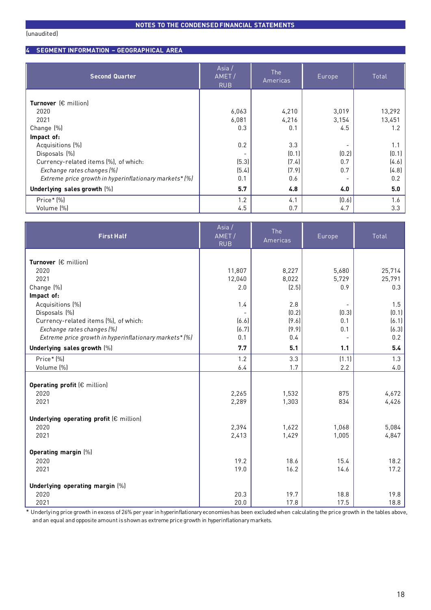**4 SEGMENT INFORMATION – GEOGRAPHICAL AREA**

| <b>Second Quarter</b>                                  | Asia /<br>AMET/<br>RUB | The<br>Americas | Europe | Total  |
|--------------------------------------------------------|------------------------|-----------------|--------|--------|
|                                                        |                        |                 |        |        |
| Turnover $(\epsilon$ million)                          |                        |                 |        |        |
| 2020                                                   | 6,063                  | 4,210           | 3,019  | 13,292 |
| 2021                                                   | 6,081                  | 4,216           | 3,154  | 13,451 |
| Change [%]                                             | 0.3                    | 0.1             | 4.5    | 1.2    |
| Impact of:                                             |                        |                 |        |        |
| Acquisitions (%)                                       | 0.2                    | 3.3             |        | 1.1    |
| Disposals (%)                                          |                        | (0.1)           | (0.2)  | (0.1)  |
| Currency-related items (%), of which:                  | (5.3)                  | (7.4)           | 0.7    | (4.6)  |
| Exchange rates changes (%)                             | (5.4)                  | (7.9)           | 0.7    | (4.8)  |
| Extreme price growth in hyperinflationary markets* (%) | 0.1                    | 0.6             |        | 0.2    |
| Underlying sales growth [%]                            | 5.7                    | 4.8             | 4.0    | 5.0    |
| Price* [%]                                             | 1.2                    | 4.1             | [0.6]  | 1.6    |
| Volume (%)                                             | 4.5                    | 0.7             | 4.7    | 3.3    |

| <b>First Half</b>                                      | Asia /<br>AMET/<br><b>RUB</b> | The<br>Americas | Europe | Total  |
|--------------------------------------------------------|-------------------------------|-----------------|--------|--------|
| Turnover (€ million)                                   |                               |                 |        |        |
|                                                        |                               |                 |        |        |
| 2020                                                   | 11,807                        | 8,227           | 5,680  | 25,714 |
| 2021                                                   | 12,040                        | 8,022           | 5,729  | 25,791 |
| Change [%]<br>Impact of:                               | 2.0                           | (2.5)           | 0.9    | 0.3    |
|                                                        | 1.4                           | 2.8             |        | 1.5    |
| Acquisitions (%)<br>Disposals (%)                      |                               | (0.2)           | (0.3)  | [0.1]  |
| Currency-related items (%), of which:                  | (6.6)                         | (9.6)           | 0.1    | (6.1)  |
| Exchange rates changes (%)                             | (6.7)                         | (9.9)           | 0.1    | (6.3)  |
| Extreme price growth in hyperinflationary markets* (%) | 0.1                           | 0.4             |        | 0.2    |
| Underlying sales growth [%]                            | 7.7                           | 5.1             | 1.1    | 5.4    |
|                                                        |                               |                 |        |        |
| Price* (%)                                             | 1.2                           | 3.3             | (1.1)  | 1.3    |
| Volume (%)                                             | 6.4                           | 1.7             | 2.2    | 4.0    |
| Operating profit (€ million)                           |                               |                 |        |        |
| 2020                                                   | 2,265                         | 1,532           | 875    | 4,672  |
| 2021                                                   | 2,289                         | 1,303           | 834    | 4,426  |
|                                                        |                               |                 |        |        |
| Underlying operating profit (€ million)                |                               |                 |        |        |
| 2020                                                   | 2,394                         | 1,622           | 1,068  | 5,084  |
| 2021                                                   | 2,413                         | 1,429           | 1,005  | 4,847  |
| Operating margin [%]                                   |                               |                 |        |        |
| 2020                                                   | 19.2                          | 18.6            | 15.4   | 18.2   |
| 2021                                                   | 19.0                          | 16.2            | 14.6   | 17.2   |
|                                                        |                               |                 |        |        |
| Underlying operating margin [%]                        |                               |                 |        |        |
| 2020                                                   | 20.3                          | 19.7            | 18.8   | 19.8   |
| 2021                                                   | 20.0                          | 17.8            | 17.5   | 18.8   |

\* Underlying price growth in excess of 26% per year in hyperinflationary economies has been excluded when calculating the price growth in the tables above, and an equal and opposite amount is shown as extreme price growth in hyperinflationary markets.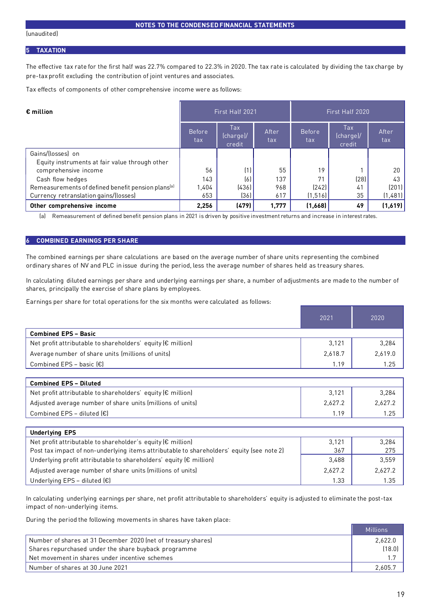#### **5 TAXATION**

The effective tax rate for the first half was 22.7% compared to 22.3% in 2020. The tax rate is calculated by dividing the tax charge by pre-tax profit excluding the contribution of joint ventures and associates.

Tax effects of components of other comprehensive income were as follows:

| $\epsilon$ million                                             |                      | First Half 2021            |              | First Half 2020      |                           |              |  |
|----------------------------------------------------------------|----------------------|----------------------------|--------------|----------------------|---------------------------|--------------|--|
|                                                                | <b>Before</b><br>tax | Tax<br>(charge)/<br>credit | After<br>tax | <b>Before</b><br>tax | Tax<br>(charge)<br>credit | After<br>tax |  |
| Gains/(losses) on                                              |                      |                            |              |                      |                           |              |  |
| Equity instruments at fair value through other                 |                      |                            |              |                      |                           |              |  |
| comprehensive income                                           | 56                   | (1)                        | 55           | 19                   |                           | 20           |  |
| Cash flow hedges                                               | 143                  | (6)                        | 137          | 71                   | (28)                      | 43           |  |
| Remeasurements of defined benefit pension plans <sup>[a]</sup> | 1,404                | (436)                      | 968          | (242)                | 41                        | (201)        |  |
| Currency retranslation gains/(losses)                          | 653                  | (36)                       | 617          | (1, 516)             | 35                        | (1,481)      |  |
| Other comprehensive income                                     | 2,256                | (479)                      | 1,777        | (1,668)              | 49                        | (1,619)      |  |

(a) Remeasurement of defined benefit pension plans in 2021 is driven by positive investment returns and increase in interest rates.

### **6 COMBINED EARNINGS PER SHARE**

The combined earnings per share calculations are based on the average number of share units representing the combined ordinary shares of NV and PLC in issue during the period, less the average number of shares held as treasury shares.

In calculating diluted earnings per share and underlying earnings per share, a number of adjustments are made to the number of shares, principally the exercise of share plans by employees.

Earnings per share for total operations for the six months were calculated as follows:

|                                                                       | 2021    | 2020    |
|-----------------------------------------------------------------------|---------|---------|
| <b>Combined EPS - Basic</b>                                           |         |         |
| Net profit attributable to shareholders' equity ( $\epsilon$ million) | 3,121   | 3.284   |
| Average number of share units (millions of units)                     | 2.618.7 | 2.619.0 |
| Combined EPS - basic $[\epsilon]$                                     | 1.19    | 1.25    |

| <b>Combined EPS - Diluted</b>                                         |         |         |
|-----------------------------------------------------------------------|---------|---------|
| Net profit attributable to shareholders' equity $(E \text{ million})$ | 3.121   | 3.284   |
| Adjusted average number of share units (millions of units)            | 2,627.2 | 2.627.2 |
| Combined EPS – diluted $\left[\in\right]$                             | . 19    | 1.25    |

| <b>Underlying EPS</b>                                                                     |         |         |
|-------------------------------------------------------------------------------------------|---------|---------|
| Net profit attributable to shareholder's equity $(E \text{ million})$                     | 3,121   | 3,284   |
| Post tax impact of non-underlying items attributable to shareholders' equity (see note 2) | 367     | 275     |
| Underlying profit attributable to shareholders' equity $(E \text{ million})$              | 3,488   | 3.559   |
| Adjusted average number of share units (millions of units)                                | 2,627.2 | 2,627.2 |
| Underlying EPS - diluted $(\epsilon)$                                                     | 1.33    | 1.35    |

In calculating underlying earnings per share, net profit attributable to shareholders' equity is adjusted to eliminate the post-tax impact of non-underlying items.

During the period the following movements in shares have taken place:

|                                                               | Millions |
|---------------------------------------------------------------|----------|
| Number of shares at 31 December 2020 (net of treasury shares) | 2.622.0  |
| Shares repurchased under the share buyback programme          | (18.0)   |
| Net movement in shares under incentive schemes "              |          |
| Number of shares at 30 June 2021                              | 2,605.7  |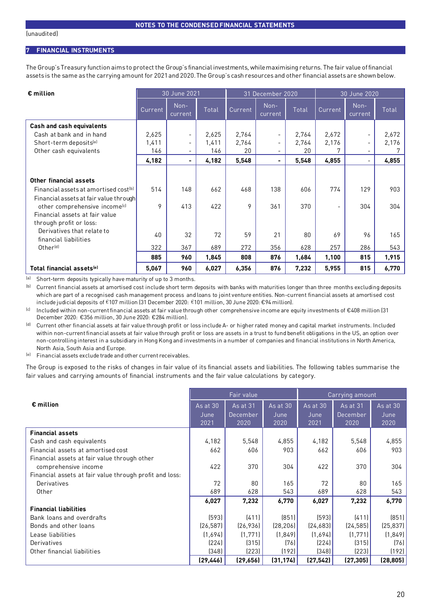#### **7 FINANCIAL INSTRUMENTS**

The Group's Treasury function aims to protect the Group's financial investments, while maximising returns. The fair value of financial assets is the same as the carrying amount for 2021and 2020. The Group's cash resources and other financial assets are shown below.

| $\epsilon$ million                                | 30 June 2021<br>31 December 2020<br>30 June 2020 |                          |       |         |                          |       |         |                          |       |
|---------------------------------------------------|--------------------------------------------------|--------------------------|-------|---------|--------------------------|-------|---------|--------------------------|-------|
|                                                   | Current                                          | Non-<br>current          | Total | Current | Non-<br>current          | Total | Current | Non-<br>current          | Total |
| Cash and cash equivalents                         |                                                  |                          |       |         |                          |       |         |                          |       |
| Cash at bank and in hand                          | 2,625                                            | $\blacksquare$           | 2,625 | 2,764   | $\overline{\phantom{0}}$ | 2,764 | 2,672   | $\overline{\phantom{a}}$ | 2,672 |
| Short-term deposits <sup>[a]</sup>                | 1,411                                            | $\overline{\phantom{a}}$ | 1,411 | 2,764   | -                        | 2,764 | 2,176   | $\overline{\phantom{a}}$ | 2,176 |
| Other cash equivalents                            | 146                                              | $\blacksquare$           | 146   | 20      |                          | 20    |         |                          |       |
|                                                   | 4,182                                            | $\blacksquare$           | 4,182 | 5,548   | -                        | 5,548 | 4,855   |                          | 4,855 |
|                                                   |                                                  |                          |       |         |                          |       |         |                          |       |
| Other financial assets                            |                                                  |                          |       |         |                          |       |         |                          |       |
| Financial assets at amortised cost <sup>(b)</sup> | 514                                              | 148                      | 662   | 468     | 138                      | 606   | 774     | 129                      | 903   |
| Financial assets at fair value through            |                                                  |                          |       |         |                          |       |         |                          |       |
| other comprehensive income <sup>[c]</sup>         | 9                                                | 413                      | 422   | 9       | 361                      | 370   |         | 304                      | 304   |
| Financial assets at fair value                    |                                                  |                          |       |         |                          |       |         |                          |       |
| through profit or loss:                           |                                                  |                          |       |         |                          |       |         |                          |       |
| Derivatives that relate to                        | 40                                               | 32                       | 72    | 59      | 21                       | 80    | 69      | 96                       | 165   |
| financial liabilities                             |                                                  |                          |       |         |                          |       |         |                          |       |
| Other <sup>[d]</sup>                              | 322                                              | 367                      | 689   | 272     | 356                      | 628   | 257     | 286                      | 543   |
|                                                   | 885                                              | 960                      | 1,845 | 808     | 876                      | 1,684 | 1,100   | 815                      | 1,915 |
| Total financial assets <sup>(e)</sup>             | 5,067                                            | 960                      | 6,027 | 6,356   | 876                      | 7,232 | 5,955   | 815                      | 6,770 |

(a) Short-term deposits typically have maturity of up to 3 months.

(b) Current financial assets at amortised cost include short term deposits with banks with maturities longer than three months excluding deposits which are part of a recognised cash management process and loans to joint venture entities. Non-current financial assets at amortised cost include judicial deposits of €107 million (31 December 2020: €101 million, 30 June 2020: €94 million).

(c) Included within non-current financial assets at fair value through other comprehensive income are equity investments of €408 million (31 December 2020: €356 million, 30 June 2020: €284 million).

<sup>(d)</sup> Current other financial assets at fair value through profit or loss include A- or higher rated money and capital market instruments. Included within non-current financial assets at fair value through profit or loss are assets in a trust to fund benefit obligations in the US, an option over non-controlling interest in a subsidiary in Hong Kong and investments in a number of companies and financial institutions in North America, North Asia, South Asia and Europe.

(e) Financial assets exclude trade and other current receivables.

The Group is exposed to the risks of changes in fair value of its financial assets and liabilities. The following tables summarise the fair values and carrying amounts of financial instruments and the fair value calculations by category.

|                                                         |                            | Fair value                          |                              |                          | Carrying amount              |                          |
|---------------------------------------------------------|----------------------------|-------------------------------------|------------------------------|--------------------------|------------------------------|--------------------------|
| $\epsilon$ million                                      | As at $30$<br>June<br>2021 | <b>As at 31</b><br>December<br>2020 | $As$ at $30$<br>June<br>2020 | As at 30<br>June<br>2021 | As at 31<br>December<br>2020 | As at 30<br>June<br>2020 |
| <b>Financial assets</b>                                 |                            |                                     |                              |                          |                              |                          |
| Cash and cash equivalents                               | 4,182                      | 5,548                               | 4,855                        | 4,182                    | 5,548                        | 4,855                    |
| Financial assets at amortised cost                      | 662                        | 606                                 | 903                          | 662                      | 606                          | 903                      |
| Financial assets at fair value through other            |                            |                                     |                              |                          |                              |                          |
| comprehensive income                                    | 422                        | 370                                 | 304                          | 422                      | 370                          | 304                      |
| Financial assets at fair value through profit and loss: |                            |                                     |                              |                          |                              |                          |
| Derivatives                                             | 72                         | 80                                  | 165                          | 72                       | 80                           | 165                      |
| Other                                                   | 689                        | 628                                 | 543                          | 689                      | 628                          | 543                      |
|                                                         | 6,027                      | 7,232                               | 6,770                        | 6,027                    | 7,232                        | 6,770                    |
| <b>Financial liabilities</b>                            |                            |                                     |                              |                          |                              |                          |
| Bank loans and overdrafts                               | (593)                      | (411)                               | (851)                        | (593)                    | (411)                        | (851)                    |
| Bonds and other loans                                   | (26, 587)                  | [26, 936]                           | (28, 206)                    | [24,683]                 | (24, 585)                    | (25, 837)                |
| Lease liabilities                                       | (1,694)                    | (1, 771)                            | (1, 849)                     | (1,694)                  | (1,771)                      | (1, 849)                 |
| Derivatives                                             | (224)                      | (315)                               | (76)                         | (224)                    | (315)                        | (76)                     |
| Other financial liabilities                             | (348)                      | (223)                               | (192)                        | (348)                    | (223)                        | (192)                    |
|                                                         | (29, 446)                  | (29, 656)                           | (31, 174)                    | (27, 542)                | (27, 305)                    | (28, 805)                |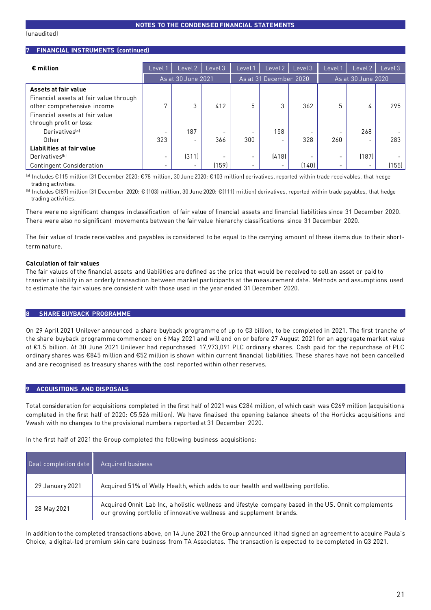#### **7 FINANCIAL INSTRUMENTS (continued)**

| $\epsilon$ million                     | Level 1                  | Level 2                  | Level <sub>3</sub> | Level 1                  | Level 2                  | Level <sub>3</sub> | Level | Level 2            | Level <sub>3</sub> |
|----------------------------------------|--------------------------|--------------------------|--------------------|--------------------------|--------------------------|--------------------|-------|--------------------|--------------------|
|                                        |                          | As at 30 June 2021       |                    |                          | As at 31 December 2020   |                    |       | As at 30 June 2020 |                    |
| Assets at fair value                   |                          |                          |                    |                          |                          |                    |       |                    |                    |
| Financial assets at fair value through |                          |                          |                    |                          |                          |                    |       |                    |                    |
| other comprehensive income             | o                        | 3                        | 412                | 5                        | 3                        | 362                | 5     | 4                  | 295                |
| Financial assets at fair value         |                          |                          |                    |                          |                          |                    |       |                    |                    |
| through profit or loss:                |                          |                          |                    |                          |                          |                    |       |                    |                    |
| Derivatives <sup>[a]</sup>             |                          | 187                      |                    |                          | 158                      |                    |       | 268                |                    |
| Other                                  | 323                      | $\overline{\phantom{0}}$ | 366                | 300                      | -                        | 328                | 260   |                    | 283                |
| Liabilities at fair value              |                          |                          |                    |                          |                          |                    |       |                    |                    |
| Derivatives <sup>[b]</sup>             | $\overline{\phantom{0}}$ | [311]                    |                    | $\overline{\phantom{a}}$ | (418)                    |                    | -     | (187)              |                    |
| <b>Contingent Consideration</b>        | $\overline{\phantom{0}}$ |                          | (159)              | $\overline{\phantom{a}}$ | $\overline{\phantom{a}}$ | (140)              |       |                    | (155)              |

(a) Includes €115 million (31 December 2020: €78 million, 30 June 2020: €103 million) derivatives, reported within trade receivables, that hedge trading activities.

(b) Includes €(87) million (31 December 2020: € (103) million, 30 June 2020: €(111) million) derivatives, reported within trade payables, that hedge trading activities.

There were no significant changes in classification of fair value of financial assets and financial liabilities since 31 December 2020. There were also no significant movements between the fair value hierarchy classifications since 31 December 2020.

The fair value of trade receivables and payables is considered to be equal to the carrying amount of these items due to their shortterm nature.

#### **Calculation of fair values**

The fair values of the financial assets and liabilities are defined as the price that would be received to sell an asset or paid to transfer a liability in an orderly transaction between market participants at the measurement date. Methods and assumptions used to estimate the fair values are consistent with those used in the year ended 31 December 2020.

#### **8 SHARE BUYBACK PROGRAMME**

On 29 April 2021 Unilever announced a share buyback programme of up to €3 billion, to be completed in 2021. The first tranche of the share buyback programme commenced on 6 May 2021 and will end on or before 27 August 2021 for an aggregate market value of €1.5 billion. At 30 June 2021 Unilever had repurchased 17,973,091 PLC ordinary shares. Cash paid for the repurchase of PLC ordinary shares was €845 million and €52 million is shown within current financial liabilities. These shares have not been cancelled and are recognised as treasury shares with the cost reported within other reserves.

#### **9 ACQUISITIONS AND DISPOSALS**

Total consideration for acquisitions completed in the first half of 2021 was €284 million, of which cash was €269 million (acquisitions completed in the first half of 2020: €5,526 million). We have finalised the opening balance sheets of the Horlicks acquisitions and Vwash with no changes to the provisional numbers reported at 31 December 2020.

In the first half of 2021 the Group completed the following business acquisitions:

| Deal completion date | Acquired business                                                                                                                                                           |
|----------------------|-----------------------------------------------------------------------------------------------------------------------------------------------------------------------------|
| 29 January 2021      | Acquired 51% of Welly Health, which adds to our health and wellbeing portfolio.                                                                                             |
| 28 May 2021          | Acquired Onnit Lab Inc, a holistic wellness and lifestyle company based in the US. Onnit complements<br>our growing portfolio of innovative wellness and supplement brands. |

In addition to the completed transactions above, on 14 June 2021 the Group announced it had signed an agreement to acquire Paula's Choice, a digital-led premium skin care business from TA Associates. The transaction is expected to be completed in Q3 2021.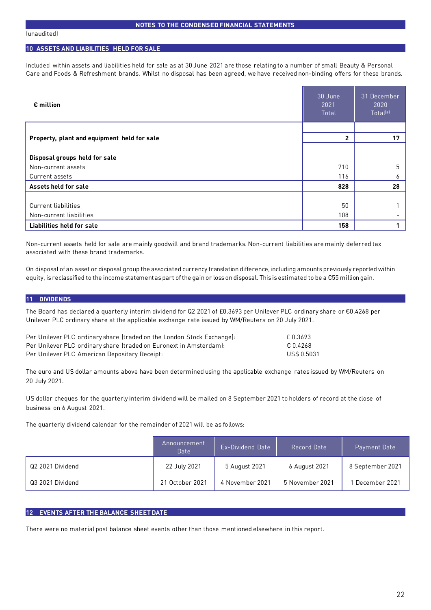## **10 ASSETS AND LIABILITIES HELD FOR SALE**

Included within assets and liabilities held for sale as at 30 June 2021 are those relating to a number of small Beauty & Personal Care and Foods & Refreshment brands. Whilst no disposal has been agreed, we have received non-binding offers for these brands.

| $\epsilon$ million                          | 30 June<br>2021<br>Total | 31 December<br>2020<br>Total <sup>[a]</sup> |
|---------------------------------------------|--------------------------|---------------------------------------------|
|                                             |                          | 17                                          |
| Property, plant and equipment held for sale | $\mathbf{2}$             |                                             |
| Disposal groups held for sale               |                          |                                             |
| Non-current assets                          | 710                      | 5                                           |
| Current assets                              | 116                      | ь                                           |
| Assets held for sale                        | 828                      | 28                                          |
|                                             |                          |                                             |
| Current liabilities                         | 50                       |                                             |
| Non-current liabilities                     | 108                      |                                             |
| <b>Liabilities held for sale</b>            | 158                      |                                             |

Non-current assets held for sale are mainly goodwill and brand trademarks. Non-current liabilities are mainly deferred tax associated with these brand trademarks.

On disposal of an asset or disposal group the associated currency translation difference, including amounts previously reported within equity, is reclassified to the income statement as part of the gain or loss on disposal. This is estimated to be a €55 million gain.

#### **11 DIVIDENDS**

The Board has declared a quarterly interim dividend for Q2 2021 of £0.3693 per Unilever PLC ordinary share or €0.4268 per Unilever PLC ordinary share at the applicable exchange rate issued by WM/Reuters on 20 July 2021.

| Per Unilever PLC ordinary share (traded on the London Stock Exchange): | £ 0.3693    |
|------------------------------------------------------------------------|-------------|
| Per Unilever PLC ordinary share (traded on Euronext in Amsterdam):     | € 0.4268    |
| Per Unilever PLC American Depositary Receipt:                          | US\$ 0.5031 |

The euro and US dollar amounts above have been determined using the applicable exchange rates issued by WM/Reuters on 20 July 2021.

US dollar cheques for the quarterly interim dividend will be mailed on 8 September 2021 to holders of record at the close of business on 6 August 2021.

The quarterly dividend calendar for the remainder of 2021 will be as follows:

|                  | Announcement<br><b>Date</b> | Ex-Dividend Date ' | Record Date     | Payment Date     |
|------------------|-----------------------------|--------------------|-----------------|------------------|
| Q2 2021 Dividend | 22 July 2021                | 5 August 2021      | 6 August 2021   | 8 September 2021 |
| Q3 2021 Dividend | 21 October 2021             | 4 November 2021    | 5 November 2021 | December 2021    |

#### **12 EVENTS AFTER THE BALANCE SHEET DATE**

There were no material post balance sheet events other than those mentioned elsewhere in this report.